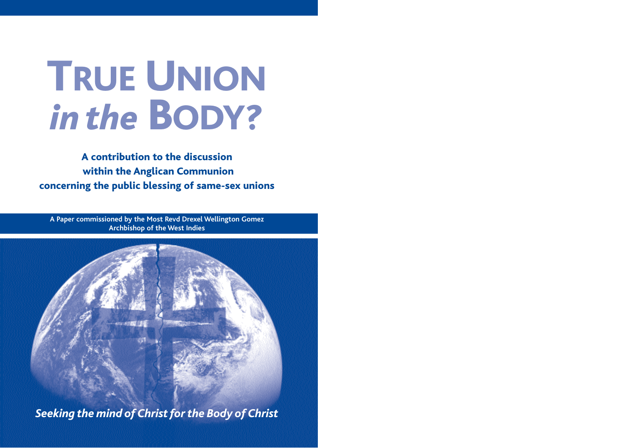# TRUE UNION *in the* BODY?

A contribution to the discussion within the Anglican Communion concerning the public blessing of same-sex unions

**A Paper commissioned by the Most Revd Drexel Wellington Gomez Archbishop of the West Indies**



*Seeking the mind of Christ for the Body of Christ*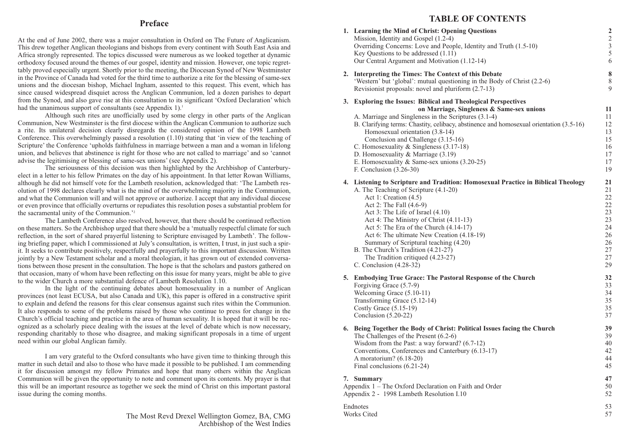#### **Preface**

At the end of June 2002, there was a major consultation in Oxford on The Future of Anglicanism. This drew together Anglican theologians and bishops from every continent with South East Asia and Africa strongly represented. The topics discussed were numerous as we looked together at dynamic orthodoxy focused around the themes of our gospel, identity and mission. However, one topic regrettably proved especially urgent. Shortly prior to the meeting, the Diocesan Synod of New Westminster in the Province of Canada had voted for the third time to authorize a rite for the blessing of same-sex unions and the diocesan bishop, Michael Ingham, assented to this request. This event, which has since caused widespread disquiet across the Anglican Communion, led a dozen parishes to depart from the Synod, and also gave rise at this consultation to its significant 'Oxford Declaration' which had the unanimous support of consultants (see Appendix  $1$ ).<sup>1</sup>

Although such rites are unofficially used by some clergy in other parts of the Anglican Communion, New Westminster is the first diocese within the Anglican Communion to authorize such a rite. Its unilateral decision clearly disregards the considered opinion of the 1998 Lambeth Conference. This overwhelmingly passed a resolution (1.10) stating that 'in view of the teaching of Scripture' the Conference 'upholds faithfulness in marriage between a man and a woman in lifelong union, and believes that abstinence is right for those who are not called to marriage' and so 'cannot advise the legitimising or blessing of same-sex unions' (see Appendix 2).

The seriousness of this decision was then highlighted by the Archbishop of Canterburyelect in a letter to his fellow Primates on the day of his appointment. In that letter Rowan Williams, although he did not himself vote for the Lambeth resolution, acknowledged that: 'The Lambeth resolution of 1998 declares clearly what is the mind of the overwhelming majority in the Communion, and what the Communion will and will not approve or authorize. I accept that any individual diocese or even province that officially overturns or repudiates this resolution poses a substantial problem for the sacramental unity of the Communion.'2

The Lambeth Conference also resolved, however, that there should be continued reflection on these matters. So the Archbishop urged that there should be a 'mutually respectful climate for such reflection, in the sort of shared prayerful listening to Scripture envisaged by Lambeth'. The following briefing paper, which I commissioned at July's consultation, is written, I trust, in just such a spirit. It seeks to contribute positively, respectfully and prayerfully to this important discussion. Written jointly by a New Testament scholar and a moral theologian, it has grown out of extended conversations between those present in the consultation. The hope is that the scholars and pastors gathered on that occasion, many of whom have been reflecting on this issue for many years, might be able to give to the wider Church a more substantial defence of Lambeth Resolution 1.10.

In the light of the continuing debates about homosexuality in a number of Anglican provinces (not least ECUSA, but also Canada and UK), this paper is offered in a constructive spirit to explain and defend the reasons for this clear consensus against such rites within the Communion. It also responds to some of the problems raised by those who continue to press for change in the Church's official teaching and practice in the area of human sexuality. It is hoped that it will be recognized as a scholarly piece dealing with the issues at the level of debate which is now necessary, responding charitably to those who disagree, and making significant proposals in a time of urgent need within our global Anglican family.

I am very grateful to the Oxford consultants who have given time to thinking through this matter in such detail and also to those who have made it possible to be published. I am commending it for discussion amongst my fellow Primates and hope that many others within the Anglican Communion will be given the opportunity to note and comment upon its contents. My prayer is that this will be an important resource as together we seek the mind of Christ on this important pastoral issue during the coming months.

### **TABLE OF CONTENTS**

| 1. Learning the Mind of Christ: Opening Questions<br>Mission, Identity and Gospel (1.2-4)<br>Overriding Concerns: Love and People, Identity and Truth (1.5-10)<br>Key Questions to be addressed (1.11)<br>Our Central Argument and Motivation (1.12-14)                                                                                                                                                                                                                                                   | $\overline{\mathbf{c}}$<br>$\overline{\mathbf{c}}$<br>3<br>5<br>6    |
|-----------------------------------------------------------------------------------------------------------------------------------------------------------------------------------------------------------------------------------------------------------------------------------------------------------------------------------------------------------------------------------------------------------------------------------------------------------------------------------------------------------|----------------------------------------------------------------------|
| 2. Interpreting the Times: The Context of this Debate<br>'Western' but 'global': mutual questioning in the Body of Christ (2.2-6)<br>Revisionist proposals: novel and pluriform (2.7-13)                                                                                                                                                                                                                                                                                                                  | 8<br>8<br>9                                                          |
| 3. Exploring the Issues: Biblical and Theological Perspectives<br>on Marriage, Singleness & Same-sex unions<br>A. Marriage and Singleness in the Scriptures (3.1-4)<br>B. Clarifying terms: Chastity, celibacy, abstinence and homosexual orientation (3.5-16)<br>Homosexual orientation (3.8-14)<br>Conclusion and Challenge (3.15-16)<br>C. Homosexuality & Singleness (3.17-18)<br>D. Homosexuality & Marriage (3.19)<br>E. Homosexuality & Same-sex unions (3.20-25)<br>F. Conclusion (3.26-30)       | 11<br>11<br>12<br>13<br>15<br>16<br>17<br>17<br>19                   |
| 4. Listening to Scripture and Tradition: Homosexual Practice in Biblical Theology<br>A. The Teaching of Scripture (4.1-20)<br>Act 1: Creation $(4.5)$<br>Act 2: The Fall (4.6-9)<br>Act 3: The Life of Israel (4.10)<br>Act 4: The Ministry of Christ (4.11-13)<br>Act 5: The Era of the Church (4.14-17)<br>Act 6: The ultimate New Creation (4.18-19)<br>Summary of Scriptural teaching (4.20)<br>B. The Church's Tradition (4.21-27)<br>The Tradition critiqued (4.23-27)<br>C. Conclusion $(4.28-32)$ | 21<br>21<br>22<br>22<br>23<br>23<br>24<br>26<br>26<br>27<br>27<br>29 |
| 5. Embodying True Grace: The Pastoral Response of the Church<br>Forgiving Grace (5.7-9)<br>Welcoming Grace (5.10-11)<br>Transforming Grace (5.12-14)<br>Costly Grace $(5.15-19)$<br>Conclusion $(5.20-22)$                                                                                                                                                                                                                                                                                                | 32<br>33<br>34<br>35<br>35<br>37                                     |
| 6. Being Together the Body of Christ: Political Issues facing the Church<br>The Challenges of the Present (6.2-6)<br>Wisdom from the Past: a way forward? (6.7-12)<br>Conventions, Conferences and Canterbury (6.13-17)<br>A moratorium? (6.18-20)<br>Final conclusions $(6.21-24)$                                                                                                                                                                                                                       | 39<br>39<br>40<br>42<br>44<br>45                                     |
| 7. Summary<br>Appendix 1 - The Oxford Declaration on Faith and Order<br>Appendix 2 - 1998 Lambeth Resolution I.10                                                                                                                                                                                                                                                                                                                                                                                         |                                                                      |
| Endnotes<br>Works Cited                                                                                                                                                                                                                                                                                                                                                                                                                                                                                   |                                                                      |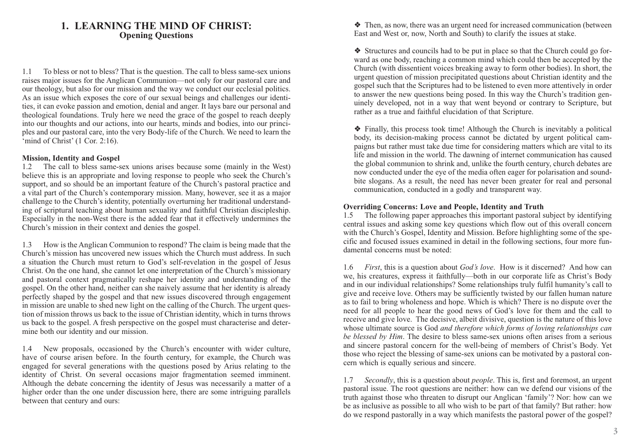# **1. LEARNING THE MIND OF CHRIST: Opening Questions**

1.1 To bless or not to bless? That is the question. The call to bless same-sex unions raises major issues for the Anglican Communion—not only for our pastoral care and our theology, but also for our mission and the way we conduct our ecclesial politics. As an issue which exposes the core of our sexual beings and challenges our identities, it can evoke passion and emotion, denial and anger. It lays bare our personal and theological foundations. Truly here we need the grace of the gospel to reach deeply into our thoughts and our actions, into our hearts, minds and bodies, into our principles and our pastoral care, into the very Body-life of the Church. We need to learn the 'mind of Christ' (1 Cor. 2:16).

#### **Mission, Identity and Gospel**

1.2 The call to bless same-sex unions arises because some (mainly in the West) believe this is an appropriate and loving response to people who seek the Church's support, and so should be an important feature of the Church's pastoral practice and a vital part of the Church's contemporary mission. Many, however, see it as a major challenge to the Church's identity, potentially overturning her traditional understanding of scriptural teaching about human sexuality and faithful Christian discipleship. Especially in the non-West there is the added fear that it effectively undermines the Church's mission in their context and denies the gospel.

1.3 How is the Anglican Communion to respond? The claim is being made that the Church's mission has uncovered new issues which the Church must address. In such a situation the Church must return to God's self-revelation in the gospel of Jesus Christ. On the one hand, she cannot let one interpretation of the Church's missionary and pastoral context pragmatically reshape her identity and understanding of the gospel. On the other hand, neither can she naively assume that her identity is already perfectly shaped by the gospel and that new issues discovered through engagement in mission are unable to shed new light on the calling of the Church. The urgent question of mission throws us back to the issue of Christian identity, which in turns throws us back to the gospel. A fresh perspective on the gospel must characterise and determine both our identity and our mission.

1.4 New proposals, occasioned by the Church's encounter with wider culture, have of course arisen before. In the fourth century, for example, the Church was engaged for several generations with the questions posed by Arius relating to the identity of Christ. On several occasions major fragmentation seemed imminent. Although the debate concerning the identity of Jesus was necessarily a matter of a higher order than the one under discussion here, there are some intriguing parallels between that century and ours:

❖ Then, as now, there was an urgent need for increased communication (between East and West or, now, North and South) to clarify the issues at stake.

❖ Structures and councils had to be put in place so that the Church could go forward as one body, reaching a common mind which could then be accepted by the Church (with dissentient voices breaking away to form other bodies). In short, the urgent question of mission precipitated questions about Christian identity and the gospel such that the Scriptures had to be listened to even more attentively in order to answer the new questions being posed. In this way the Church's tradition genuinely developed, not in a way that went beyond or contrary to Scripture, but rather as a true and faithful elucidation of that Scripture.

❖ Finally, this process took time! Although the Church is inevitably a political body, its decision-making process cannot be dictated by urgent political campaigns but rather must take due time for considering matters which are vital to its life and mission in the world. The dawning of internet communication has caused the global communion to shrink and, unlike the fourth century, church debates are now conducted under the eye of the media often eager for polarisation and soundbite slogans. As a result, the need has never been greater for real and personal communication, conducted in a godly and transparent way.

# **Overriding Concerns: Love and People, Identity and Truth**

1.5 The following paper approaches this important pastoral subject by identifying central issues and asking some key questions which flow out of this overall concern with the Church's Gospel, Identity and Mission. Before highlighting some of the specific and focused issues examined in detail in the following sections, four more fundamental concerns must be noted:

1.6 *First*, this is a question about *God's love*. How is it discerned? And how can we, his creatures, express it faithfully—both in our corporate life as Christ's Body and in our individual relationships? Some relationships truly fulfil humanity's call to give and receive love. Others may be sufficiently twisted by our fallen human nature as to fail to bring wholeness and hope. Which is which? There is no dispute over the need for all people to hear the good news of God's love for them and the call to receive and give love. The decisive, albeit divisive, question is the nature of this love whose ultimate source is God *and therefore which forms of loving relationships can be blessed by Him*. The desire to bless same-sex unions often arises from a serious and sincere pastoral concern for the well-being of members of Christ's Body. Yet those who reject the blessing of same-sex unions can be motivated by a pastoral concern which is equally serious and sincere.

1.7 *Secondly*, this is a question about *people*. This is, first and foremost, an urgent pastoral issue. The root questions are neither: how can we defend our visions of the truth against those who threaten to disrupt our Anglican 'family'? Nor: how can we be as inclusive as possible to all who wish to be part of that family? But rather: how do we respond pastorally in a way which manifests the pastoral power of the gospel?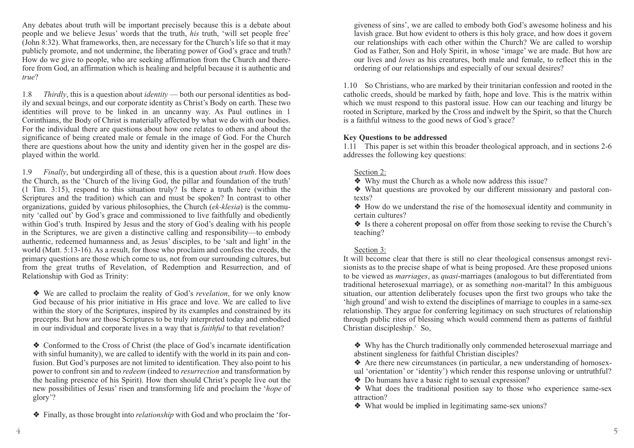Any debates about truth will be important precisely because this is a debate about people and we believe Jesus' words that the truth, *his* truth, 'will set people free' (John 8:32). What frameworks, then, are necessary for the Church's life so that it may publicly promote, and not undermine, the liberating power of God's grace and truth? How do we give to people, who are seeking affirmation from the Church and therefore from God, an affirmation which is healing and helpful because it is authentic and *true*?

1.8 *Thirdly*, this is a question about *identity* — both our personal identities as bodily and sexual beings, and our corporate identity as Christ's Body on earth. These two identities will prove to be linked in an uncanny way. As Paul outlines in 1 Corinthians, the Body of Christ is materially affected by what we do with our bodies. For the individual there are questions about how one relates to others and about the significance of being created male or female in the image of God. For the Church there are questions about how the unity and identity given her in the gospel are displayed within the world.

1.9 *Finally*, but undergirding all of these, this is a question about *truth*. How does the Church, as the 'Church of the living God, the pillar and foundation of the truth' (1 Tim. 3:15), respond to this situation truly? Is there a truth here (within the Scriptures and the tradition) which can and must be spoken? In contrast to other organizations, guided by various philosophies, the Church (*ek-klesia*) is the community 'called out' by God's grace and commissioned to live faithfully and obediently within God's truth. Inspired by Jesus and the story of God's dealing with his people in the Scriptures, we are given a distinctive calling and responsibility—to embody authentic, redeemed humanness and, as Jesus' disciples, to be 'salt and light' in the world (Matt. 5:13-16). As a result, for those who proclaim and confess the creeds, the primary questions are those which come to us, not from our surrounding cultures, but from the great truths of Revelation, of Redemption and Resurrection, and of Relationship with God as Trinity:

❖ We are called to proclaim the reality of God's *revelation*, for we only know God because of his prior initiative in His grace and love. We are called to live within the story of the Scriptures, inspired by its examples and constrained by its precepts. But how are those Scriptures to be truly interpreted today and embodied in our individual and corporate lives in a way that is *faithful* to that revelation?

❖ Conformed to the Cross of Christ (the place of God's incarnate identification with sinful humanity), we are called to identify with the world in its pain and confusion. But God's purposes are not limited to identification. They also point to his power to confront sin and to *redeem* (indeed to *resurrection* and transformation by the healing presence of his Spirit). How then should Christ's people live out the new possibilities of Jesus' risen and transforming life and proclaim the '*hope* of glory'?

❖ Finally, as those brought into *relationship* with God and who proclaim the 'for-

giveness of sins', we are called to embody both God's awesome holiness and his lavish grace. But how evident to others is this holy grace, and how does it govern our relationships with each other within the Church? We are called to worship God as Father, Son and Holy Spirit, in whose 'image' we are made. But how are our lives and *loves* as his creatures, both male and female, to reflect this in the ordering of our relationships and especially of our sexual desires?

1.10 So Christians, who are marked by their trinitarian confession and rooted in the catholic creeds, should be marked by faith, hope and love. This is the matrix within which we must respond to this pastoral issue. How can our teaching and liturgy be rooted in Scripture, marked by the Cross and indwelt by the Spirit, so that the Church is a faithful witness to the good news of God's grace?

#### **Key Questions to be addressed**

1.11 This paper is set within this broader theological approach, and in sections 2-6 addresses the following key questions:

# Section 2:

❖ Why must the Church as a whole now address this issue?

❖ What questions are provoked by our different missionary and pastoral contexts?

❖ How do we understand the rise of the homosexual identity and community in certain cultures?

❖ Is there a coherent proposal on offer from those seeking to revise the Church's teaching?

# Section 3:

It will become clear that there is still no clear theological consensus amongst revisionists as to the precise shape of what is being proposed. Are these proposed unions to be viewed as *marriages*, as *quasi*-marriages (analogous to but differentiated from traditional heterosexual marriage), or as something *non*-marital? In this ambiguous situation, our attention deliberately focuses upon the first two groups who take the 'high ground' and wish to extend the disciplines of marriage to couples in a same-sex relationship. They argue for conferring legitimacy on such structures of relationship through public rites of blessing which would commend them as patterns of faithful Christian discipleship.<sup>3</sup> So,

❖ Why has the Church traditionally only commended heterosexual marriage and abstinent singleness for faithful Christian disciples?

❖ Are there new circumstances (in particular, a new understanding of homosexual 'orientation' or 'identity') which render this response unloving or untruthful?

❖ Do humans have a basic right to sexual expression?

❖ What does the traditional position say to those who experience same-sex attraction?

❖ What would be implied in legitimating same-sex unions?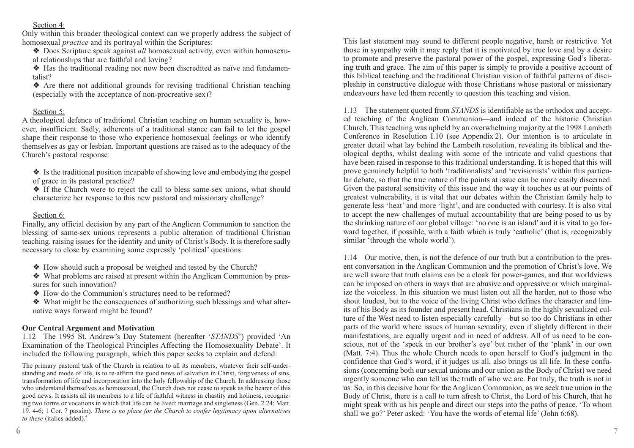#### Section 4:

Only within this broader theological context can we properly address the subject of homosexual *practice* and its portrayal within the Scriptures:

❖ Does Scripture speak against *all* homosexual activity, even within homosexual relationships that are faithful and loving?

❖ Has the traditional reading not now been discredited as naïve and fundamentalist?

❖ Are there not additional grounds for revising traditional Christian teaching (especially with the acceptance of non-procreative sex)?

#### Section 5:

A theological defence of traditional Christian teaching on human sexuality is, however, insufficient. Sadly, adherents of a traditional stance can fail to let the gospel shape their response to those who experience homosexual feelings or who identify themselves as gay or lesbian. Important questions are raised as to the adequacy of the Church's pastoral response:

❖ Is the traditional position incapable of showing love and embodying the gospel of grace in its pastoral practice?

❖ If the Church were to reject the call to bless same-sex unions, what should characterize her response to this new pastoral and missionary challenge?

# Section 6:

Finally, any official decision by any part of the Anglican Communion to sanction the blessing of same-sex unions represents a public alteration of traditional Christian teaching, raising issues for the identity and unity of Christ's Body. It is therefore sadly necessary to close by examining some expressly 'political' questions:

❖ How should such a proposal be weighed and tested by the Church?

❖ What problems are raised at present within the Anglican Communion by pressures for such innovation?

❖ How do the Communion's structures need to be reformed?

❖ What might be the consequences of authorizing such blessings and what alternative ways forward might be found?

# **Our Central Argument and Motivation**

1.12 The 1995 St. Andrew's Day Statement (hereafter '*STANDS*') provided 'An Examination of the Theological Principles Affecting the Homosexuality Debate'. It included the following paragraph, which this paper seeks to explain and defend:

The primary pastoral task of the Church in relation to all its members, whatever their self-understanding and mode of life, is to re-affirm the good news of salvation in Christ, forgiveness of sins, transformation of life and incorporation into the holy fellowship of the Church. In addressing those who understand themselves as homosexual, the Church does not cease to speak as the bearer of this good news. It assists all its members to a life of faithful witness in chastity and holiness, recognizing two forms or vocations in which that life can be lived: marriage and singleness (Gen. 2.24; Matt. 19. 4-6; 1 Cor. 7 passim). *There is no place for the Church to confer legitimacy upon alternatives to these* (italics added).<sup>4</sup>

This last statement may sound to different people negative, harsh or restrictive. Yet those in sympathy with it may reply that it is motivated by true love and by a desire to promote and preserve the pastoral power of the gospel, expressing God's liberating truth and grace. The aim of this paper is simply to provide a positive account of this biblical teaching and the traditional Christian vision of faithful patterns of discipleship in constructive dialogue with those Christians whose pastoral or missionary endeavours have led them recently to question this teaching and vision.

1.13 The statement quoted from *STANDS* is identifiable as the orthodox and accepted teaching of the Anglican Communion—and indeed of the historic Christian Church. This teaching was upheld by an overwhelming majority at the 1998 Lambeth Conference in Resolution I.10 (see Appendix 2). Our intention is to articulate in greater detail what lay behind the Lambeth resolution, revealing its biblical and theological depths, whilst dealing with some of the intricate and valid questions that have been raised in response to this traditional understanding. It is hoped that this will prove genuinely helpful to both 'traditionalists' and 'revisionists' within this particular debate, so that the true nature of the points at issue can be more easily discerned. Given the pastoral sensitivity of this issue and the way it touches us at our points of greatest vulnerability, it is vital that our debates within the Christian family help to generate less 'heat' and more 'light', and are conducted with courtesy. It is also vital to accept the new challenges of mutual accountability that are being posed to us by the shrinking nature of our global village: 'no one is an island' and it is vital to go forward together, if possible, with a faith which is truly 'catholic' (that is, recognizably similar 'through the whole world').

1.14 Our motive, then, is not the defence of our truth but a contribution to the present conversation in the Anglican Communion and the promotion of Christ's love. We are well aware that truth claims can be a cloak for power-games, and that worldviews can be imposed on others in ways that are abusive and oppressive or which marginalize the voiceless. In this situation we must listen out all the harder, not to those who shout loudest, but to the voice of the living Christ who defines the character and limits of his Body as its founder and present head. Christians in the highly sexualized culture of the West need to listen especially carefully—but so too do Christians in other parts of the world where issues of human sexuality, even if slightly different in their manifestations, are equally urgent and in need of address. All of us need to be conscious, not of the 'speck in our brother's eye' but rather of the 'plank' in our own (Matt. 7:4). Thus the whole Church needs to open herself to God's judgment in the confidence that God's word, if it judges us all, also brings us all life. In these confusions (concerning both our sexual unions and our union as the Body of Christ) we need urgently someone who can tell us the truth of who we are. For truly, the truth is not in us. So, in this decisive hour for the Anglican Communion, as we seek true union in the Body of Christ, there is a call to turn afresh to Christ, the Lord of his Church, that he might speak with us his people and direct our steps into the paths of peace. 'To whom shall we go?' Peter asked: 'You have the words of eternal life' (John 6:68).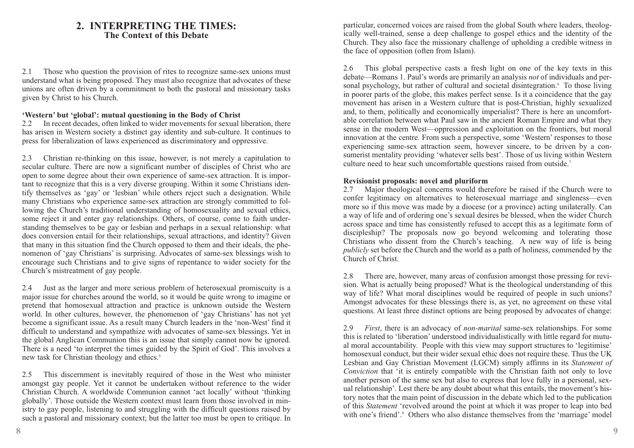# **2. INTERPRETING THE TIMES: The Context of this Debate**

2.1 Those who question the provision of rites to recognize same-sex unions must understand what is being proposed. They must also recognize that advocates of these unions are often driven by a commitment to both the pastoral and missionary tasks given by Christ to his Church.

#### **'Western' but 'global': mutual questioning in the Body of Christ**

2.2 In recent decades, often linked to wider movements for sexual liberation, there has arisen in Western society a distinct gay identity and sub-culture. It continues to press for liberalization of laws experienced as discriminatory and oppressive.

2.3 Christian re-thinking on this issue, however, is not merely a capitulation to secular culture. There are now a significant number of disciples of Christ who are open to some degree about their own experience of same-sex attraction. It is important to recognize that this is a very diverse grouping. Within it some Christians identify themselves as 'gay' or 'lesbian' while others reject such a designation. While many Christians who experience same-sex attraction are strongly committed to following the Church's traditional understanding of homosexuality and sexual ethics, some reject it and enter gay relationships. Others, of course, come to faith understanding themselves to be gay or lesbian and perhaps in a sexual relationship: what does conversion entail for their relationships, sexual attractions, and identity? Given that many in this situation find the Church opposed to them and their ideals, the phenomenon of 'gay Christians' is surprising. Advocates of same-sex blessings wish to encourage such Christians and to give signs of repentance to wider society for the Church's mistreatment of gay people.

2.4 Just as the larger and more serious problem of heterosexual promiscuity is a major issue for churches around the world, so it would be quite wrong to imagine or pretend that homosexual attraction and practice is unknown outside the Western world. In other cultures, however, the phenomenon of 'gay Christians' has not yet become a significant issue. As a result many Church leaders in the 'non-West' find it difficult to understand and sympathize with advocates of same-sex blessings. Yet in the global Anglican Communion this is an issue that simply cannot now be ignored. There is a need 'to interpret the times guided by the Spirit of God'. This involves a new task for Christian theology and ethics.<sup>5</sup>

2.5 This discernment is inevitably required of those in the West who minister amongst gay people. Yet it cannot be undertaken without reference to the wider Christian Church. A worldwide Communion cannot 'act locally' without 'thinking globally'. Those outside the Western context must learn from those involved in ministry to gay people, listening to and struggling with the difficult questions raised by such a pastoral and missionary context; but the latter too must be open to critique. In

particular, concerned voices are raised from the global South where leaders, theologically well-trained, sense a deep challenge to gospel ethics and the identity of the Church. They also face the missionary challenge of upholding a credible witness in the face of opposition (often from Islam).

2.6 This global perspective casts a fresh light on one of the key texts in this debate—Romans 1. Paul's words are primarily an analysis *not* of individuals and personal psychology, but rather of cultural and societal disintegration.<sup>6</sup> To those living in poorer parts of the globe, this makes perfect sense. Is it a coincidence that the gay movement has arisen in a Western culture that is post-Christian, highly sexualized and, to them, politically and economically imperialist? There is here an uncomfortable correlation between what Paul saw in the ancient Roman Empire and what they sense in the modern West—oppression and exploitation on the frontiers, but moral innovation at the centre. From such a perspective, some 'Western' responses to those experiencing same-sex attraction seem, however sincere, to be driven by a consumerist mentality providing 'whatever sells best'. Those of us living within Western culture need to hear such uncomfortable questions raised from outside.<sup>7</sup>

#### **Revisionist proposals: novel and pluriform**

2.7 Major theological concerns would therefore be raised if the Church were to confer legitimacy on alternatives to heterosexual marriage and singleness—even more so if this move was made by a diocese (or a province) acting unilaterally. Can a way of life and of ordering one's sexual desires be blessed, when the wider Church across space and time has consistently refused to accept this as a legitimate form of discipleship? The proposals now go beyond welcoming and tolerating those Christians who dissent from the Church's teaching. A new way of life is being *publicly* set before the Church and the world as a path of holiness, commended by the Church of Christ.

2.8 There are, however, many areas of confusion amongst those pressing for revision. What is actually being proposed? What is the theological understanding of this way of life? What moral disciplines would be required of people in such unions? Amongst advocates for these blessings there is, as yet, no agreement on these vital questions. At least three distinct options are being proposed by advocates of change:

2.9 *First*, there is an advocacy of *non-marital* same-sex relationships. For some this is related to 'liberation' understood individualistically with little regard for mutual moral accountability. People with this view may support structures to 'legitimise' homosexual conduct, but their wider sexual ethic does not require these. Thus the UK Lesbian and Gay Christian Movement (LGCM) simply affirms in its *Statement of Conviction* that 'it is entirely compatible with the Christian faith not only to love another person of the same sex but also to express that love fully in a personal, sexual relationship'. Lest there be any doubt about what this entails, the movement's history notes that the main point of discussion in the debate which led to the publication of this *Statement* 'revolved around the point at which it was proper to leap into bed with one's friend'.<sup>8</sup> Others who also distance themselves from the 'marriage' model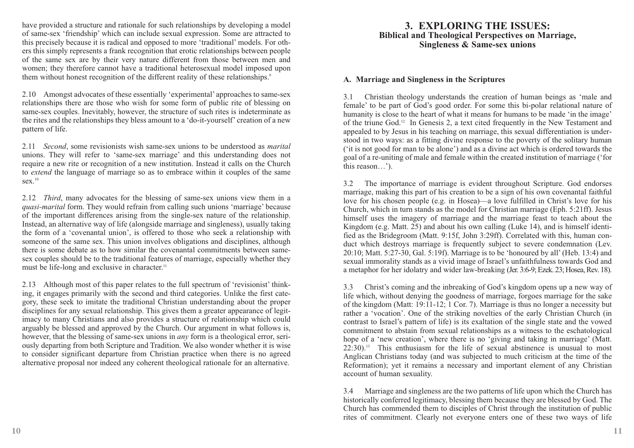have provided a structure and rationale for such relationships by developing a model of same-sex 'friendship' which can include sexual expression. Some are attracted to this precisely because it is radical and opposed to more 'traditional' models. For others this simply represents a frank recognition that erotic relationships between people of the same sex are by their very nature different from those between men and women; they therefore cannot have a traditional heterosexual model imposed upon them without honest recognition of the different reality of these relationships.<sup>9</sup>

2.10 Amongst advocates of these essentially 'experimental' approaches to same-sex relationships there are those who wish for some form of public rite of blessing on same-sex couples. Inevitably, however, the structure of such rites is indeterminate as the rites and the relationships they bless amount to a 'do-it-yourself' creation of a new pattern of life.

2.11 *Second*, some revisionists wish same-sex unions to be understood as *marital* unions. They will refer to 'same-sex marriage' and this understanding does not require a new rite or recognition of a new institution. Instead it calls on the Church to *extend* the language of marriage so as to embrace within it couples of the same sex $10$ 

2.12 *Third*, many advocates for the blessing of same-sex unions view them in a *quasi-marital* form. They would refrain from calling such unions 'marriage' because of the important differences arising from the single-sex nature of the relationship. Instead, an alternative way of life (alongside marriage and singleness), usually taking the form of a 'covenantal union', is offered to those who seek a relationship with someone of the same sex. This union involves obligations and disciplines, although there is some debate as to how similar the covenantal commitments between samesex couples should be to the traditional features of marriage, especially whether they must be life-long and exclusive in character.<sup>11</sup>

2.13 Although most of this paper relates to the full spectrum of 'revisionist' thinking, it engages primarily with the second and third categories. Unlike the first category, these seek to imitate the traditional Christian understanding about the proper disciplines for any sexual relationship. This gives them a greater appearance of legitimacy to many Christians and also provides a structure of relationship which could arguably be blessed and approved by the Church. Our argument in what follows is, however, that the blessing of same-sex unions in *any* form is a theological error, seriously departing from both Scripture and Tradition. We also wonder whether it is wise to consider significant departure from Christian practice when there is no agreed alternative proposal nor indeed any coherent theological rationale for an alternative.

# **3. EXPLORING THE ISSUES: Biblical and Theological Perspectives on Marriage, Singleness & Same-sex unions**

#### **A. Marriage and Singleness in the Scriptures**

3.1 Christian theology understands the creation of human beings as 'male and female' to be part of God's good order. For some this bi-polar relational nature of humanity is close to the heart of what it means for humans to be made 'in the image' of the triune God.12 In Genesis 2, a text cited frequently in the New Testament and appealed to by Jesus in his teaching on marriage, this sexual differentiation is understood in two ways: as a fitting divine response to the poverty of the solitary human ('it is not good for man to be alone') and as a divine act which is ordered towards the goal of a re-uniting of male and female within the created institution of marriage ('for this reason…').

3.2 The importance of marriage is evident throughout Scripture. God endorses marriage, making this part of his creation to be a sign of his own covenantal faithful love for his chosen people (e.g. in Hosea)—a love fulfilled in Christ's love for his Church, which in turn stands as the model for Christian marriage (Eph. 5:21ff). Jesus himself uses the imagery of marriage and the marriage feast to teach about the Kingdom (e.g. Matt. 25) and about his own calling (Luke 14), and is himself identified as the Bridegroom (Matt. 9:15f, John 3:29ff). Correlated with this, human conduct which destroys marriage is frequently subject to severe condemnation (Lev. 20:10; Matt. 5:27-30, Gal. 5:19f). Marriage is to be 'honoured by all' (Heb. 13:4) and sexual immorality stands as a vivid image of Israel's unfaithfulness towards God and a metaphor for her idolatry and wider law-breaking (Jer. 3:6-9; Ezek. 23; Hosea, Rev. 18).

3.3 Christ's coming and the inbreaking of God's kingdom opens up a new way of life which, without denying the goodness of marriage, forgoes marriage for the sake of the kingdom (Matt: 19:11-12; 1 Cor. 7). Marriage is thus no longer a necessity but rather a 'vocation'. One of the striking novelties of the early Christian Church (in contrast to Israel's pattern of life) is its exaltation of the single state and the vowed commitment to abstain from sexual relationships as a witness to the eschatological hope of a 'new creation', where there is no 'giving and taking in marriage' (Matt.  $22:30$ <sup>13</sup>. This enthusiasm for the life of sexual abstinence is unusual to most Anglican Christians today (and was subjected to much criticism at the time of the Reformation); yet it remains a necessary and important element of any Christian account of human sexuality.

3.4 Marriage and singleness are the two patterns of life upon which the Church has historically conferred legitimacy, blessing them because they are blessed by God. The Church has commended them to disciples of Christ through the institution of public rites of commitment. Clearly not everyone enters one of these two ways of life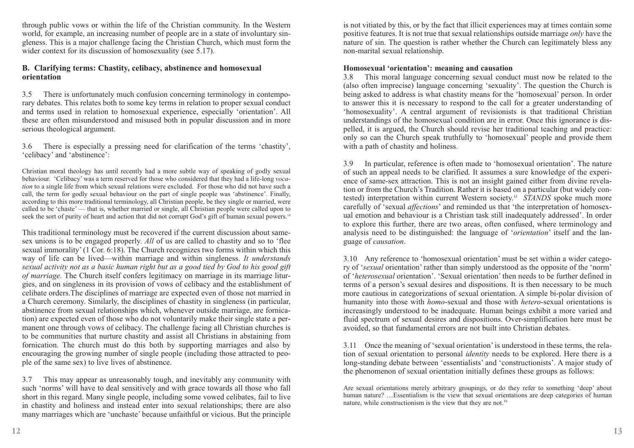through public vows or within the life of the Christian community. In the Western world, for example, an increasing number of people are in a state of involuntary singleness. This is a major challenge facing the Christian Church, which must form the wider context for its discussion of homosexuality (see 5.17).

#### **B. Clarifying terms: Chastity, celibacy, abstinence and homosexual orientation**

3.5 There is unfortunately much confusion concerning terminology in contemporary debates. This relates both to some key terms in relation to proper sexual conduct and terms used in relation to homosexual experience, especially 'orientation'. All these are often misunderstood and misused both in popular discussion and in more serious theological argument.

3.6 There is especially a pressing need for clarification of the terms 'chastity', 'celibacy' and 'abstinence':

Christian moral theology has until recently had a more subtle way of speaking of godly sexual behaviour. 'Celibacy' was a term reserved for those who considered that they had a life-long *vocation* to a single life from which sexual relations were excluded. For those who did not have such a call, the term for godly sexual behaviour on the part of single people was 'abstinence'. Finally, according to this more traditional terminology, all Christian people, be they single or married, were called to be 'chaste' — that is, whether married or single, all Christian people were called upon to seek the sort of purity of heart and action that did not corrupt God's gift of human sexual powers.<sup>14</sup>

This traditional terminology must be recovered if the current discussion about samesex unions is to be engaged properly. *All* of us are called to chastity and so to 'flee sexual immorality' (1 Cor. 6:18). The Church recognizes two forms within which this way of life can be lived—within marriage and within singleness. *It understands sexual activity not as a basic human right but as a good tied by God to his good gift of marriage.* The Church itself confers legitimacy on marriage in its marriage liturgies, and on singleness in its provision of vows of celibacy and the establishment of celibate orders.The disciplines of marriage are expected even of those not married in a Church ceremony. Similarly, the disciplines of chastity in singleness (in particular, abstinence from sexual relationships which, whenever outside marriage, are fornication) are expected even of those who do not voluntarily make their single state a permanent one through vows of celibacy. The challenge facing all Christian churches is to be communities that nurture chastity and assist all Christians in abstaining from fornication. The church must do this both by supporting marriages and also by encouraging the growing number of single people (including those attracted to people of the same sex) to live lives of abstinence.

3.7 This may appear as unreasonably tough, and inevitably any community with such 'norms' will have to deal sensitively and with grace towards all those who fall short in this regard. Many single people, including some vowed celibates, fail to live in chastity and holiness and instead enter into sexual relationships; there are also many marriages which are 'unchaste' because unfaithful or vicious. But the principle

is not vitiated by this, or by the fact that illicit experiences may at times contain some positive features. It is not true that sexual relationships outside marriage *only* have the nature of sin. The question is rather whether the Church can legitimately bless any non-marital sexual relationship.

#### **Homosexual 'orientation': meaning and causation**

3.8 This moral language concerning sexual conduct must now be related to the (also often imprecise) language concerning 'sexuality'. The question the Church is being asked to address is what chastity means for the 'homosexual' person. In order to answer this it is necessary to respond to the call for a greater understanding of 'homosexuality'. A central argument of revisionists is that traditional Christian understandings of the homosexual condition are in error. Once this ignorance is dispelled, it is argued, the Church should revise her traditional teaching and practice: only so can the Church speak truthfully to 'homosexual' people and provide them with a path of chastity and holiness.

3.9 In particular, reference is often made to 'homosexual orientation'. The nature of such an appeal needs to be clarified. It assumes a sure knowledge of the experience of same-sex attraction. This is not an insight gained either from divine revelation or from the Church's Tradition. Rather it is based on a particular (but widely contested) interpretation within current Western society.15 *STANDS* spoke much more carefully of 'sexual *affections*' and reminded us that 'the interpretation of homosexual emotion and behaviour is a Christian task still inadequately addressed'. In order to explore this further, there are two areas, often confused, where terminology and analysis need to be distinguished: the language of '*orientation*' itself and the language of *causation*.

3.10 Any reference to 'homosexual orientation' must be set within a wider category of '*sexual* orientation' rather than simply understood as the opposite of the 'norm' of '*heterosexual* orientation'. 'Sexual orientation' then needs to be further defined in terms of a person's sexual desires and dispositions. It is then necessary to be much more cautious in categorizations of sexual orientation. A simple bi-polar division of humanity into those with *homo*-sexual and those with *hetero*-sexual orientations is increasingly understood to be inadequate. Human beings exhibit a more varied and fluid spectrum of sexual desires and dispositions. Over-simplification here must be avoided, so that fundamental errors are not built into Christian debates.

3.11 Once the meaning of 'sexual orientation' is understood in these terms, the relation of sexual orientation to personal *identity* needs to be explored. Here there is a long-standing debate between 'essentialists' and 'constructionists'. A major study of the phenomenon of sexual orientation initially defines these groups as follows:

Are sexual orientations merely arbitrary groupings, or do they refer to something 'deep' about human nature? …Essentialism is the view that sexual orientations are deep categories of human nature, while constructionism is the view that they are not.<sup>16</sup>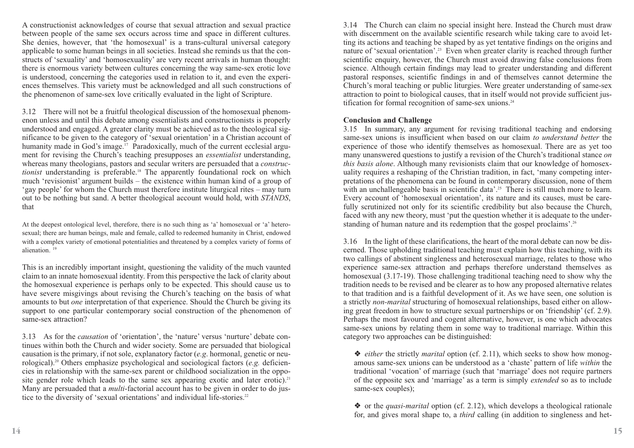A constructionist acknowledges of course that sexual attraction and sexual practice between people of the same sex occurs across time and space in different cultures. She denies, however, that 'the homosexual' is a trans-cultural universal category applicable to some human beings in all societies. Instead she reminds us that the constructs of 'sexuality' and 'homosexuality' are very recent arrivals in human thought: there is enormous variety between cultures concerning the way same-sex erotic love is understood, concerning the categories used in relation to it, and even the experiences themselves. This variety must be acknowledged and all such constructions of the phenomenon of same-sex love critically evaluated in the light of Scripture.

3.12 There will not be a fruitful theological discussion of the homosexual phenomenon unless and until this debate among essentialists and constructionists is properly understood and engaged. A greater clarity must be achieved as to the theological significance to be given to the category of 'sexual orientation' in a Christian account of humanity made in God's image.<sup>17</sup> Paradoxically, much of the current ecclesial argument for revising the Church's teaching presupposes an *essentialist* understanding, whereas many theologians, pastors and secular writers are persuaded that a *constructionist* understanding is preferable.18 The apparently foundational rock on which much 'revisionist' argument builds – the existence within human kind of a group of 'gay people' for whom the Church must therefore institute liturgical rites – may turn out to be nothing but sand. A better theological account would hold, with *STANDS*, that

At the deepest ontological level, therefore, there is no such thing as 'a' homosexual or 'a' heterosexual; there are human beings, male and female, called to redeemed humanity in Christ, endowed with a complex variety of emotional potentialities and threatened by a complex variety of forms of alienation. <sup>19</sup>

This is an incredibly important insight, questioning the validity of the much vaunted claim to an innate homosexual identity. From this perspective the lack of clarity about the homosexual experience is perhaps only to be expected. This should cause us to have severe misgivings about revising the Church's teaching on the basis of what amounts to but *one* interpretation of that experience. Should the Church be giving its support to one particular contemporary social construction of the phenomenon of same-sex attraction?

3.13 As for the *causation* of 'orientation', the 'nature' versus 'nurture' debate continues within both the Church and wider society. Some are persuaded that biological causation is the primary, if not sole, explanatory factor (*e.g*. hormonal, genetic or neurological).20 Others emphasize psychological and sociological factors (*e.g.* deficiencies in relationship with the same-sex parent or childhood socialization in the opposite gender role which leads to the same sex appearing exotic and later erotic).<sup>21</sup> Many are persuaded that a *multi*-factorial account has to be given in order to do justice to the diversity of 'sexual orientations' and individual life-stories.<sup>22</sup>

3.14 The Church can claim no special insight here. Instead the Church must draw with discernment on the available scientific research while taking care to avoid letting its actions and teaching be shaped by as yet tentative findings on the origins and nature of 'sexual orientation'.<sup>23</sup> Even when greater clarity is reached through further scientific enquiry, however, the Church must avoid drawing false conclusions from science. Although certain findings may lead to greater understanding and different pastoral responses, scientific findings in and of themselves cannot determine the Church's moral teaching or public liturgies. Were greater understanding of same-sex attraction to point to biological causes, that in itself would not provide sufficient justification for formal recognition of same-sex unions.<sup>24</sup>

#### **Conclusion and Challenge**

3.15 In summary, any argument for revising traditional teaching and endorsing same-sex unions is insufficient when based on our claim *to understand better* the experience of those who identify themselves as homosexual. There are as yet too many unanswered questions to justify a revision of the Church's traditional stance *on this basis alone*. Although many revisionists claim that our knowledge of homosexuality requires a reshaping of the Christian tradition, in fact, 'many competing interpretations of the phenomena can be found in contemporary discussion, none of them with an unchallengeable basis in scientific data'.<sup>25</sup> There is still much more to learn. Every account of 'homosexual orientation', its nature and its causes, must be carefully scrutinized not only for its scientific credibility but also because the Church, faced with any new theory, must 'put the question whether it is adequate to the understanding of human nature and its redemption that the gospel proclaims'.<sup>26</sup>

3.16 In the light of these clarifications, the heart of the moral debate can now be discerned. Those upholding traditional teaching must explain how this teaching, with its two callings of abstinent singleness and heterosexual marriage, relates to those who experience same-sex attraction and perhaps therefore understand themselves as homosexual (3.17-19). Those challenging traditional teaching need to show why the tradition needs to be revised and be clearer as to how any proposed alternative relates to that tradition and is a faithful development of it. As we have seen, one solution is a strictly *non-marital* structuring of homosexual relationships, based either on allowing great freedom in how to structure sexual partnerships or on 'friendship' (cf. 2.9). Perhaps the most favoured and cogent alternative, however, is one which advocates same-sex unions by relating them in some way to traditional marriage. Within this category two approaches can be distinguished:

❖ *either* the strictly *marital* option (cf. 2.11), which seeks to show how monogamous same-sex unions can be understood as a 'chaste' pattern of life *within* the traditional 'vocation' of marriage (such that 'marriage' does not require partners of the opposite sex and 'marriage' as a term is simply *extended* so as to include same-sex couples);

❖ or the *quasi-marital* option (cf. 2.12), which develops a theological rationale for, and gives moral shape to, a *third* calling (in addition to singleness and het-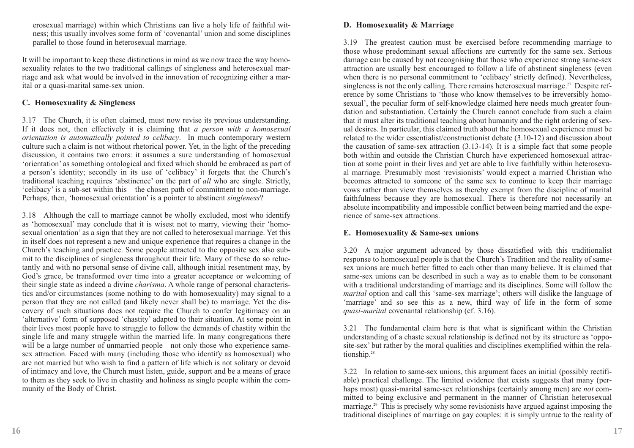erosexual marriage) within which Christians can live a holy life of faithful witness; this usually involves some form of 'covenantal' union and some disciplines parallel to those found in heterosexual marriage.

It will be important to keep these distinctions in mind as we now trace the way homosexuality relates to the two traditional callings of singleness and heterosexual marriage and ask what would be involved in the innovation of recognizing either a marital or a quasi-marital same-sex union.

# **C. Homosexuality & Singleness**

3.17 The Church, it is often claimed, must now revise its previous understanding. If it does not, then effectively it is claiming that *a person with a homosexual orientation is automatically pointed to celibacy*. In much contemporary western culture such a claim is not without rhetorical power. Yet, in the light of the preceding discussion, it contains two errors: it assumes a sure understanding of homosexual 'orientation' as something ontological and fixed which should be embraced as part of a person's identity; secondly in its use of 'celibacy' it forgets that the Church's traditional teaching requires 'abstinence' on the part of *all* who are single. Strictly, 'celibacy' is a sub-set within this – the chosen path of commitment to non-marriage. Perhaps, then, 'homosexual orientation' is a pointer to abstinent *singleness*?

3.18 Although the call to marriage cannot be wholly excluded, most who identify as 'homosexual' may conclude that it is wisest not to marry, viewing their 'homosexual orientation' as a sign that they are not called to heterosexual marriage. Yet this in itself does not represent a new and unique experience that requires a change in the Church's teaching and practice. Some people attracted to the opposite sex also submit to the disciplines of singleness throughout their life. Many of these do so reluctantly and with no personal sense of divine call, although initial resentment may, by God's grace, be transformed over time into a greater acceptance or welcoming of their single state as indeed a divine *charisma*. A whole range of personal characteristics and/or circumstances (some nothing to do with homosexuality) may signal to a person that they are not called (and likely never shall be) to marriage. Yet the discovery of such situations does not require the Church to confer legitimacy on an 'alternative' form of supposed 'chastity' adapted to their situation. At some point in their lives most people have to struggle to follow the demands of chastity within the single life and many struggle within the married life. In many congregations there will be a large number of unmarried people—not only those who experience samesex attraction. Faced with many (including those who identify as homosexual) who are not married but who wish to find a pattern of life which is not solitary or devoid of intimacy and love, the Church must listen, guide, support and be a means of grace to them as they seek to live in chastity and holiness as single people within the community of the Body of Christ.

#### **D. Homosexuality & Marriage**

3.19 The greatest caution must be exercised before recommending marriage to those whose predominant sexual affections are currently for the same sex. Serious damage can be caused by not recognising that those who experience strong same-sex attraction are usually best encouraged to follow a life of abstinent singleness (even when there is no personal commitment to 'celibacy' strictly defined). Nevertheless, singleness is not the only calling. There remains heterosexual marriage.<sup>27</sup> Despite reference by some Christians to 'those who know themselves to be irreversibly homosexual', the peculiar form of self-knowledge claimed here needs much greater foundation and substantiation. Certainly the Church cannot conclude from such a claim that it must alter its traditional teaching about humanity and the right ordering of sexual desires. In particular, this claimed truth about the homosexual experience must be related to the wider essentialist/constructionist debate (3.10-12) and discussion about the causation of same-sex attraction (3.13-14). It is a simple fact that some people both within and outside the Christian Church have experienced homosexual attraction at some point in their lives and yet are able to live faithfully within heterosexual marriage. Presumably most 'revisionists' would expect a married Christian who becomes attracted to someone of the same sex to continue to keep their marriage vows rather than view themselves as thereby exempt from the discipline of marital faithfulness because they are homosexual. There is therefore not necessarily an absolute incompatibility and impossible conflict between being married and the experience of same-sex attractions.

## **E. Homosexuality & Same-sex unions**

3.20 A major argument advanced by those dissatisfied with this traditionalist response to homosexual people is that the Church's Tradition and the reality of samesex unions are much better fitted to each other than many believe. It is claimed that same-sex unions can be described in such a way as to enable them to be consonant with a traditional understanding of marriage and its disciplines. Some will follow the *marital* option and call this 'same-sex marriage'; others will dislike the language of 'marriage' and so see this as a new, third way of life in the form of some *quasi-marital* covenantal relationship (cf. 3.16).

3.21 The fundamental claim here is that what is significant within the Christian understanding of a chaste sexual relationship is defined not by its structure as 'opposite-sex' but rather by the moral qualities and disciplines exemplified within the relationship.28

3.22 In relation to same-sex unions, this argument faces an initial (possibly rectifiable) practical challenge. The limited evidence that exists suggests that many (perhaps most) quasi-marital same-sex relationships (certainly among men) are *not* committed to being exclusive and permanent in the manner of Christian heterosexual marriage.29 This is precisely why some revisionists have argued against imposing the traditional disciplines of marriage on gay couples: it is simply untrue to the reality of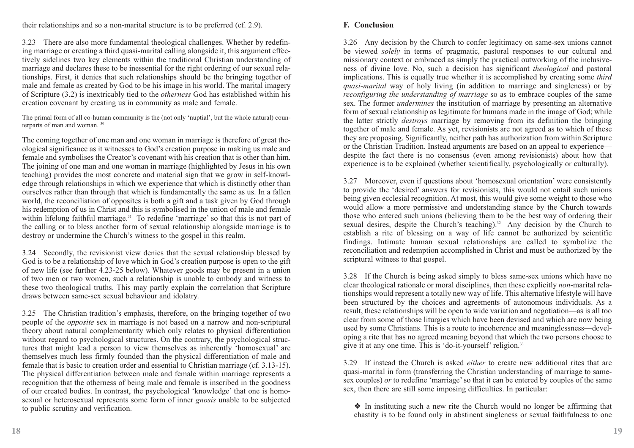their relationships and so a non-marital structure is to be preferred (cf. 2.9).

3.23 There are also more fundamental theological challenges. Whether by redefining marriage or creating a third quasi-marital calling alongside it, this argument effectively sidelines two key elements within the traditional Christian understanding of marriage and declares these to be inessential for the right ordering of our sexual relationships. First, it denies that such relationships should be the bringing together of male and female as created by God to be his image in his world. The marital imagery of Scripture (3.2) is inextricably tied to the *otherness* God has established within his creation covenant by creating us in community as male and female.

The primal form of all co-human community is the (not only 'nuptial', but the whole natural) counterparts of man and woman.<sup>30</sup>

The coming together of one man and one woman in marriage is therefore of great theological significance as it witnesses to God's creation purpose in making us male and female and symbolises the Creator's covenant with his creation that is other than him. The joining of one man and one woman in marriage (highlighted by Jesus in his own teaching) provides the most concrete and material sign that we grow in self-knowledge through relationships in which we experience that which is distinctly other than ourselves rather than through that which is fundamentally the same as us. In a fallen world, the reconciliation of opposites is both a gift and a task given by God through his redemption of us in Christ and this is symbolised in the union of male and female within lifelong faithful marriage.<sup>31</sup> To redefine 'marriage' so that this is not part of the calling or to bless another form of sexual relationship alongside marriage is to destroy or undermine the Church's witness to the gospel in this realm.

3.24 Secondly, the revisionist view denies that the sexual relationship blessed by God is to be a relationship of love which in God's creation purpose is open to the gift of new life (see further 4.23-25 below). Whatever goods may be present in a union of two men or two women, such a relationship is unable to embody and witness to these two theological truths. This may partly explain the correlation that Scripture draws between same-sex sexual behaviour and idolatry.

3.25 The Christian tradition's emphasis, therefore, on the bringing together of two people of the *opposite* sex in marriage is not based on a narrow and non-scriptural theory about natural complementarity which only relates to physical differentiation without regard to psychological structures. On the contrary, the psychological structures that might lead a person to view themselves as inherently 'homosexual' are themselves much less firmly founded than the physical differentiation of male and female that is basic to creation order and essential to Christian marriage (cf. 3.13-15). The physical differentiation between male and female within marriage represents a recognition that the otherness of being male and female is inscribed in the goodness of our created bodies. In contrast, the psychological 'knowledge' that one is homosexual or heterosexual represents some form of inner *gnosis* unable to be subjected to public scrutiny and verification.

# **F. Conclusion**

3.26 Any decision by the Church to confer legitimacy on same-sex unions cannot be viewed *solely* in terms of pragmatic, pastoral responses to our cultural and missionary context or embraced as simply the practical outworking of the inclusiveness of divine love. No, such a decision has significant *theological* and pastoral implications. This is equally true whether it is accomplished by creating some *third quasi-marital* way of holy living (in addition to marriage and singleness) or by *reconfiguring the understanding of marriage* so as to embrace couples of the same sex. The former *undermines* the institution of marriage by presenting an alternative form of sexual relationship as legitimate for humans made in the image of God; while the latter strictly *destroys* marriage by removing from its definition the bringing together of male and female. As yet, revisionists are not agreed as to which of these they are proposing. Significantly, neither path has authorization from within Scripture or the Christian Tradition. Instead arguments are based on an appeal to experience despite the fact there is no consensus (even among revisionists) about how that experience is to be explained (whether scientifically, psychologically or culturally).

3.27 Moreover, even if questions about 'homosexual orientation' were consistently to provide the 'desired' answers for revisionists, this would not entail such unions being given ecclesial recognition. At most, this would give some weight to those who would allow a more permissive and understanding stance by the Church towards those who entered such unions (believing them to be the best way of ordering their sexual desires, despite the Church's teaching).<sup>32</sup> Any decision by the Church to establish a rite of blessing on a way of life cannot be authorized by scientific findings. Intimate human sexual relationships are called to symbolize the reconciliation and redemption accomplished in Christ and must be authorized by the scriptural witness to that gospel.

3.28 If the Church is being asked simply to bless same-sex unions which have no clear theological rationale or moral disciplines, then these explicitly *non*-marital relationships would represent a totally new way of life. This alternative lifestyle will have been structured by the choices and agreements of autonomous individuals. As a result, these relationships will be open to wide variation and negotiation—as is all too clear from some of those liturgies which have been devised and which are now being used by some Christians. This is a route to incoherence and meaninglessness—developing a rite that has no agreed meaning beyond that which the two persons choose to give it at any one time. This is 'do-it-yourself' religion.<sup>33</sup>

3.29 If instead the Church is asked *either* to create new additional rites that are quasi-marital in form (transferring the Christian understanding of marriage to samesex couples) *or* to redefine 'marriage' so that it can be entered by couples of the same sex, then there are still some imposing difficulties. In particular:

❖ In instituting such a new rite the Church would no longer be affirming that chastity is to be found only in abstinent singleness or sexual faithfulness to one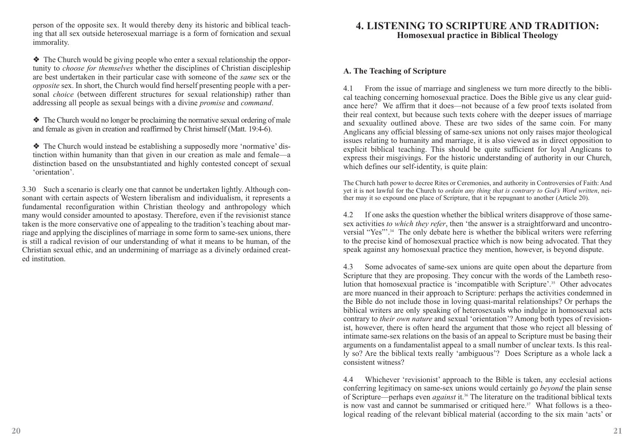person of the opposite sex. It would thereby deny its historic and biblical teaching that all sex outside heterosexual marriage is a form of fornication and sexual immorality.

❖ The Church would be giving people who enter a sexual relationship the opportunity to *choose for themselves* whether the disciplines of Christian discipleship are best undertaken in their particular case with someone of the *same* sex or the *opposite* sex. In short, the Church would find herself presenting people with a personal *choice* (between different structures for sexual relationship) rather than addressing all people as sexual beings with a divine *promise* and *command*.

❖ The Church would no longer be proclaiming the normative sexual ordering of male and female as given in creation and reaffirmed by Christ himself (Matt. 19:4-6).

❖ The Church would instead be establishing a supposedly more 'normative' distinction within humanity than that given in our creation as male and female—a distinction based on the unsubstantiated and highly contested concept of sexual 'orientation'.

3.30 Such a scenario is clearly one that cannot be undertaken lightly. Although consonant with certain aspects of Western liberalism and individualism, it represents a fundamental reconfiguration within Christian theology and anthropology which many would consider amounted to apostasy. Therefore, even if the revisionist stance taken is the more conservative one of appealing to the tradition's teaching about marriage and applying the disciplines of marriage in some form to same-sex unions, there is still a radical revision of our understanding of what it means to be human, of the Christian sexual ethic, and an undermining of marriage as a divinely ordained created institution.

# **4. LISTENING TO SCRIPTURE AND TRADITION: Homosexual practice in Biblical Theology**

## **A. The Teaching of Scripture**

4.1 From the issue of marriage and singleness we turn more directly to the biblical teaching concerning homosexual practice. Does the Bible give us any clear guidance here? We affirm that it does—not because of a few proof texts isolated from their real context, but because such texts cohere with the deeper issues of marriage and sexuality outlined above. These are two sides of the same coin. For many Anglicans any official blessing of same-sex unions not only raises major theological issues relating to humanity and marriage, it is also viewed as in direct opposition to explicit biblical teaching. This should be quite sufficient for loyal Anglicans to express their misgivings. For the historic understanding of authority in our Church, which defines our self-identity, is quite plain:

The Church hath power to decree Rites or Ceremonies, and authority in Controversies of Faith: And yet it is not lawful for the Church to *ordain any thing that is contrary to God's Word written*, neither may it so expound one place of Scripture, that it be repugnant to another (Article 20).

4.2 If one asks the question whether the biblical writers disapprove of those samesex activities *to which they refer*, then 'the answer is a straightforward and uncontroversial "Yes"'.34 The only debate here is whether the biblical writers were referring to the precise kind of homosexual practice which is now being advocated. That they speak against any homosexual practice they mention, however, is beyond dispute.

4.3 Some advocates of same-sex unions are quite open about the departure from Scripture that they are proposing. They concur with the words of the Lambeth resolution that homosexual practice is 'incompatible with Scripture'.35 Other advocates are more nuanced in their approach to Scripture: perhaps the activities condemned in the Bible do not include those in loving quasi-marital relationships? Or perhaps the biblical writers are only speaking of heterosexuals who indulge in homosexual acts contrary to *their own nature* and sexual 'orientation'? Among both types of revisionist, however, there is often heard the argument that those who reject all blessing of intimate same-sex relations on the basis of an appeal to Scripture must be basing their arguments on a fundamentalist appeal to a small number of unclear texts. Is this really so? Are the biblical texts really 'ambiguous'? Does Scripture as a whole lack a consistent witness?

4.4 Whichever 'revisionist' approach to the Bible is taken, any ecclesial actions conferring legitimacy on same-sex unions would certainly go *beyond* the plain sense of Scripture—perhaps even *against* it.36 The literature on the traditional biblical texts is now vast and cannot be summarised or critiqued here.<sup>37</sup> What follows is a theological reading of the relevant biblical material (according to the six main 'acts' or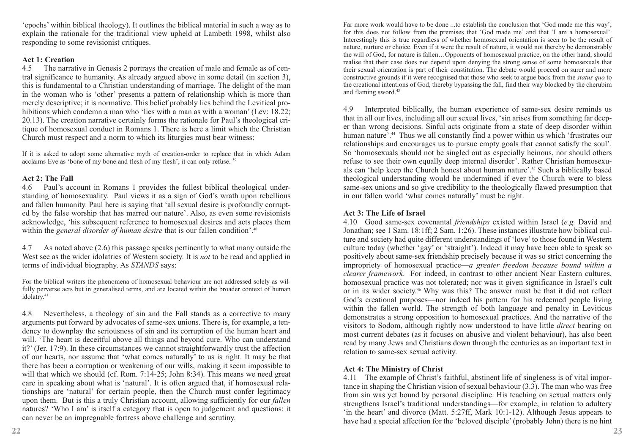'epochs' within biblical theology). It outlines the biblical material in such a way as to explain the rationale for the traditional view upheld at Lambeth 1998, whilst also responding to some revisionist critiques.

#### **Act 1: Creation**

4.5 The narrative in Genesis 2 portrays the creation of male and female as of central significance to humanity. As already argued above in some detail (in section 3), this is fundamental to a Christian understanding of marriage. The delight of the man in the woman who is 'other' presents a pattern of relationship which is more than merely descriptive; it is normative. This belief probably lies behind the Levitical prohibitions which condemn a man who 'lies with a man as with a woman' (Lev: 18.22; 20.13). The creation narrative certainly forms the rationale for Paul's theological critique of homosexual conduct in Romans 1. There is here a limit which the Christian Church must respect and a norm to which its liturgies must bear witness:

If it is asked to adopt some alternative myth of creation-order to replace that in which Adam acclaims Eve as 'bone of my bone and flesh of my flesh', it can only refuse. <sup>39</sup>

#### **Act 2: The Fall**

4.6 Paul's account in Romans 1 provides the fullest biblical theological understanding of homosexuality. Paul views it as a sign of God's wrath upon rebellious and fallen humanity. Paul here is saying that 'all sexual desire is profoundly corrupted by the false worship that has marred our nature'. Also, as even some revisionists acknowledge, 'his subsequent reference to homosexual desires and acts places them within the *general disorder of human desire* that is our fallen condition<sup>'.40</sup>

4.7 As noted above (2.6) this passage speaks pertinently to what many outside the West see as the wider idolatries of Western society. It is *not* to be read and applied in terms of individual biography. As *STANDS* says:

For the biblical writers the phenomena of homosexual behaviour are not addressed solely as wilfully perverse acts but in generalised terms, and are located within the broader context of human idolatry.<sup>41</sup>

4.8 Nevertheless, a theology of sin and the Fall stands as a corrective to many arguments put forward by advocates of same-sex unions. There is, for example, a tendency to downplay the seriousness of sin and its corruption of the human heart and will. 'The heart is deceitful above all things and beyond cure. Who can understand it?' (Jer. 17:9). In these circumstances we cannot straightforwardly trust the affection of our hearts, nor assume that 'what comes naturally' to us is right. It may be that there has been a corruption or weakening of our wills, making it seem impossible to will that which we should (cf. Rom. 7:14-25; John 8:34). This means we need great care in speaking about what is 'natural'. It is often argued that, if homosexual relationships are 'natural' for certain people, then the Church must confer legitimacy upon them. But is this a truly Christian account, allowing sufficiently for our *fallen* natures? 'Who I am' is itself a category that is open to judgement and questions: it can never be an impregnable fortress above challenge and scrutiny.

Far more work would have to be done ...to establish the conclusion that 'God made me this way': for this does not follow from the premises that 'God made me' and that 'I am a homosexual'. Interestingly this is true regardless of whether homosexual orientation is seen to be the result of nature, nurture or choice. Even if it were the result of nature, it would not thereby be demonstrably the will of God, for nature is fallen…Opponents of homosexual practice, on the other hand, should realise that their case does not depend upon denying the strong sense of some homosexuals that their sexual orientation is part of their constitution. The debate would proceed on surer and more constructive grounds if it were recognised that those who seek to argue back from the *status quo* to the creational intentions of God, thereby bypassing the fall, find their way blocked by the cherubim and flaming sword.<sup>43</sup>

4.9 Interpreted biblically, the human experience of same-sex desire reminds us that in all our lives, including all our sexual lives, 'sin arises from something far deeper than wrong decisions. Sinful acts originate from a state of deep disorder within human nature<sup>7</sup>.<sup>44</sup> Thus we all constantly find a power within us which 'frustrates our relationships and encourages us to pursue empty goals that cannot satisfy the soul'. So 'homosexuals should not be singled out as especially heinous, nor should others refuse to see their own equally deep internal disorder'. Rather Christian homosexuals can 'help keep the Church honest about human nature'.45 Such a biblically based theological understanding would be undermined if ever the Church were to bless same-sex unions and so give credibility to the theologically flawed presumption that in our fallen world 'what comes naturally' must be right.

## **Act 3: The Life of Israel**

4.10 Good same-sex covenantal *friendships* existed within Israel (*e.g.* David and Jonathan; see 1 Sam. 18:1ff; 2 Sam. 1:26). These instances illustrate how biblical culture and society had quite different understandings of 'love' to those found in Western culture today (whether 'gay' or 'straight'). Indeed it may have been able to speak so positively about same-sex friendship precisely because it was so strict concerning the impropriety of homosexual practice—*a greater freedom because bound within a clearer framework*. For indeed, in contrast to other ancient Near Eastern cultures, homosexual practice was not tolerated; nor was it given significance in Israel's cult or in its wider society.46 Why was this? The answer must be that it did not reflect God's creational purposes—nor indeed his pattern for his redeemed people living within the fallen world. The strength of both language and penalty in Leviticus demonstrates a strong opposition to homosexual practices. And the narrative of the visitors to Sodom, although rightly now understood to have little *direct* bearing on most current debates (as it focuses on abusive and violent behaviour), has also been read by many Jews and Christians down through the centuries as an important text in relation to same-sex sexual activity.

#### **Act 4: The Ministry of Christ**

4.11 The example of Christ's faithful, abstinent life of singleness is of vital importance in shaping the Christian vision of sexual behaviour (3.3). The man who was free from sin was yet bound by personal discipline. His teaching on sexual matters only strengthens Israel's traditional understandings—for example, in relation to adultery 'in the heart' and divorce (Matt. 5:27ff, Mark 10:1-12). Although Jesus appears to have had a special affection for the 'beloved disciple' (probably John) there is no hint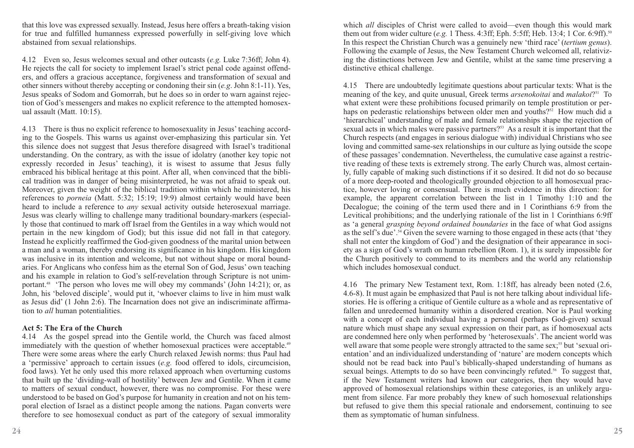that this love was expressed sexually. Instead, Jesus here offers a breath-taking vision for true and fulfilled humanness expressed powerfully in self-giving love which abstained from sexual relationships.

4.12 Even so, Jesus welcomes sexual and other outcasts (*e.g.* Luke 7:36ff; John 4). He rejects the call for society to implement Israel's strict penal code against offenders, and offers a gracious acceptance, forgiveness and transformation of sexual and other sinners without thereby accepting or condoning their sin (*e.g*. John 8:1-11). Yes, Jesus speaks of Sodom and Gomorrah, but he does so in order to warn against rejection of God's messengers and makes no explicit reference to the attempted homosexual assault (Matt. 10:15).

4.13 There is thus no explicit reference to homosexuality in Jesus' teaching according to the Gospels. This warns us against over-emphasizing this particular sin. Yet this silence does not suggest that Jesus therefore disagreed with Israel's traditional understanding. On the contrary, as with the issue of idolatry (another key topic not expressly recorded in Jesus' teaching), it is wisest to assume that Jesus fully embraced his biblical heritage at this point. After all, when convinced that the biblical tradition was in danger of being misinterpreted, he was not afraid to speak out. Moreover, given the weight of the biblical tradition within which he ministered, his references to *porneia* (Matt. 5:32; 15:19; 19:9) almost certainly would have been heard to include a reference to *any* sexual activity outside heterosexual marriage. Jesus was clearly willing to challenge many traditional boundary-markers (especially those that continued to mark off Israel from the Gentiles in a way which would not pertain in the new kingdom of God); but this issue did not fall in that category. Instead he explicitly reaffirmed the God-given goodness of the marital union between a man and a woman, thereby endorsing its significance in his kingdom. His kingdom was inclusive in its intention and welcome, but not without shape or moral boundaries. For Anglicans who confess him as the eternal Son of God, Jesus' own teaching and his example in relation to God's self-revelation through Scripture is not unimportant.<sup>48</sup> 'The person who loves me will obey my commands' (John 14:21); or, as John, his 'beloved disciple', would put it, 'whoever claims to live in him must walk as Jesus did' (1 John 2:6). The Incarnation does not give an indiscriminate affirmation to *all* human potentialities.

## **Act 5: The Era of the Church**

4.14 As the gospel spread into the Gentile world, the Church was faced almost immediately with the question of whether homosexual practices were acceptable.<sup>49</sup> There were some areas where the early Church relaxed Jewish norms: thus Paul had <sup>a</sup>'permissive' approach to certain issues (*e.g.* food offered to idols, circumcision, food laws). Yet he only used this more relaxed approach when overturning customs that built up the 'dividing-wall of hostility' between Jew and Gentile. When it came to matters of sexual conduct, however, there was no compromise. For these were understood to be based on God's purpose for humanity in creation and not on his temporal election of Israel as a distinct people among the nations. Pagan converts were therefore to see homosexual conduct as part of the category of sexual immorality

which *all* disciples of Christ were called to avoid—even though this would mark them out from wider culture (*e.g.* 1 Thess. 4:3ff; Eph. 5:5ff; Heb. 13:4; 1 Cor. 6:9ff).<sup>50</sup> In this respect the Christian Church was a genuinely new 'third race' (*tertium genus*). Following the example of Jesus, the New Testament Church welcomed all, relativizing the distinctions between Jew and Gentile, whilst at the same time preserving a distinctive ethical challenge.

4.15 There are undoubtedly legitimate questions about particular texts: What is the meaning of the key, and quite unusual, Greek terms *arsenokoitai* and *malakoi*?51 To what extent were these prohibitions focused primarily on temple prostitution or perhaps on pederastic relationships between older men and youths?<sup>52</sup> How much did a 'hierarchical' understanding of male and female relationships shape the rejection of sexual acts in which males were passive partners?<sup>53</sup> As a result it is important that the Church respects (and engages in serious dialogue with) individual Christians who see loving and committed same-sex relationships in our culture as lying outside the scope of these passages' condemnation. Nevertheless, the cumulative case against a restrictive reading of these texts is extremely strong. The early Church was, almost certainly, fully capable of making such distinctions if it so desired. It did not do so because of a more deep-rooted and theologically grounded objection to all homosexual practice, however loving or consensual. There is much evidence in this direction: for example, the apparent correlation between the list in 1 Timothy 1:10 and the Decalogue; the coining of the term used there and in 1 Corinthians 6:9 from the Levitical prohibitions; and the underlying rationale of the list in 1 Corinthians 6:9ff as 'a general *grasping beyond ordained boundaries* in the face of what God assigns as the self's due'.54 Given the severe warning to those engaged in these acts (that 'they shall not enter the kingdom of God') and the designation of their appearance in society as a sign of God's wrath on human rebellion (Rom. 1), it is surely impossible for the Church positively to commend to its members and the world any relationship which includes homosexual conduct.

4.16 The primary New Testament text, Rom. 1:18ff, has already been noted (2.6, 4.6-8). It must again be emphasized that Paul is not here talking about individual lifestories. He is offering a critique of Gentile culture as a whole and as representative of fallen and unredeemed humanity within a disordered creation. Nor is Paul working with a concept of each individual having a personal (perhaps God-given) sexual nature which must shape any sexual expression on their part, as if homosexual acts are condemned here only when performed by 'heterosexuals'. The ancient world was well aware that some people were strongly attracted to the same sex;<sup>55</sup> but 'sexual orientation' and an individualized understanding of 'nature' are modern concepts which should not be read back into Paul's biblically-shaped understanding of humans as sexual beings. Attempts to do so have been convincingly refuted.<sup>56</sup> To suggest that, if the New Testament writers had known our categories, then they would have approved of homosexual relationships within these categories, is an unlikely argument from silence. Far more probably they knew of such homosexual relationships but refused to give them this special rationale and endorsement, continuing to see them as symptomatic of human sinfulness.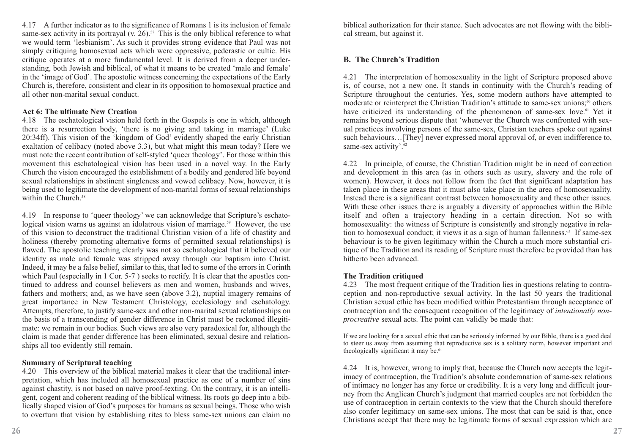4.17 A further indicator as to the significance of Romans 1 is its inclusion of female same-sex activity in its portrayal  $(v, 26)$ .<sup>57</sup> This is the only biblical reference to what we would term 'lesbianism'. As such it provides strong evidence that Paul was not simply critiquing homosexual acts which were oppressive, pederastic or cultic. His critique operates at a more fundamental level. It is derived from a deeper understanding, both Jewish and biblical, of what it means to be created 'male and female' in the 'image of God'. The apostolic witness concerning the expectations of the Early Church is, therefore, consistent and clear in its opposition to homosexual practice and all other non-marital sexual conduct.

#### **Act 6: The ultimate New Creation**

4.18 The eschatological vision held forth in the Gospels is one in which, although there is a resurrection body, 'there is no giving and taking in marriage' (Luke 20:34ff). This vision of the 'kingdom of God' evidently shaped the early Christian exaltation of celibacy (noted above 3.3), but what might this mean today? Here we must note the recent contribution of self-styled 'queer theology'. For those within this movement this eschatological vision has been used in a novel way. In the Early Church the vision encouraged the establishment of a bodily and gendered life beyond sexual relationships in abstinent singleness and vowed celibacy. Now, however, it is being used to legitimate the development of non-marital forms of sexual relationships within the Church.<sup>58</sup>

4.19 In response to 'queer theology' we can acknowledge that Scripture's eschatological vision warns us against an idolatrous vision of marriage.<sup>59</sup> However, the use of this vision to deconstruct the traditional Christian vision of a life of chastity and holiness (thereby promoting alternative forms of permitted sexual relationships) is flawed. The apostolic teaching clearly was not so eschatological that it believed our identity as male and female was stripped away through our baptism into Christ. Indeed, it may be a false belief, similar to this, that led to some of the errors in Corinth which Paul (especially in 1 Cor. 5-7) seeks to rectify. It is clear that the apostles continued to address and counsel believers as men and women, husbands and wives, fathers and mothers; and, as we have seen (above 3.2), nuptial imagery remains of great importance in New Testament Christology, ecclesiology and eschatology. Attempts, therefore, to justify same-sex and other non-marital sexual relationships on the basis of a transcending of gender difference in Christ must be reckoned illegitimate: we remain in our bodies. Such views are also very paradoxical for, although the claim is made that gender difference has been eliminated, sexual desire and relationships all too evidently still remain.

#### **Summary of Scriptural teaching**

4.20 This overview of the biblical material makes it clear that the traditional interpretation, which has included all homosexual practice as one of a number of sins against chastity, is not based on naïve proof-texting. On the contrary, it is an intelligent, cogent and coherent reading of the biblical witness. Its roots go deep into a biblically shaped vision of God's purposes for humans as sexual beings. Those who wish to overturn that vision by establishing rites to bless same-sex unions can claim no

biblical authorization for their stance. Such advocates are not flowing with the biblical stream, but against it.

# **B. The Church's Tradition**

4.21 The interpretation of homosexuality in the light of Scripture proposed above is, of course, not a new one. It stands in continuity with the Church's reading of Scripture throughout the centuries. Yes, some modern authors have attempted to moderate or reinterpret the Christian Tradition's attitude to same-sex unions; $\frac{60}{60}$  others have criticized its understanding of the phenomenon of same-sex love.<sup>61</sup> Yet it remains beyond serious dispute that 'whenever the Church was confronted with sexual practices involving persons of the same-sex, Christian teachers spoke out against such behaviours...[They] never expressed moral approval of, or even indifference to, same-sex activity'.<sup>62</sup>

4.22 In principle, of course, the Christian Tradition might be in need of correction and development in this area (as in others such as usury, slavery and the role of women). However, it does not follow from the fact that significant adaptation has taken place in these areas that it must also take place in the area of homosexuality. Instead there is a significant contrast between homosexuality and these other issues. With these other issues there is arguably a diversity of approaches within the Bible itself and often a trajectory heading in a certain direction. Not so with homosexuality: the witness of Scripture is consistently and strongly negative in relation to homosexual conduct; it views it as a sign of human fallenness. $63$  If same-sex behaviour is to be given legitimacy within the Church a much more substantial critique of the Tradition and its reading of Scripture must therefore be provided than has hitherto been advanced.

## **The Tradition critiqued**

4.23 The most frequent critique of the Tradition lies in questions relating to contraception and non-reproductive sexual activity. In the last 50 years the traditional Christian sexual ethic has been modified within Protestantism through acceptance of contraception and the consequent recognition of the legitimacy of *intentionally nonprocreative* sexual acts. The point can validly be made that:

If we are looking for a sexual ethic that can be seriously informed by our Bible, there is a good deal to steer us away from assuming that reproductive sex is a solitary norm, however important and theologically significant it may be.<sup>64</sup>

4.24 It is, however, wrong to imply that, because the Church now accepts the legitimacy of contraception, the Tradition's absolute condemnation of same-sex relations of intimacy no longer has any force or credibility. It is a very long and difficult journey from the Anglican Church's judgment that married couples are not forbidden the use of contraception in certain contexts to the view that the Church should therefore also confer legitimacy on same-sex unions. The most that can be said is that, once Christians accept that there may be legitimate forms of sexual expression which are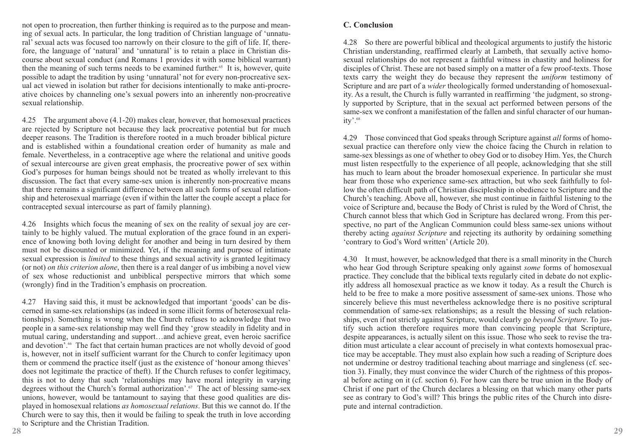not open to procreation, then further thinking is required as to the purpose and meaning of sexual acts. In particular, the long tradition of Christian language of 'unnatural' sexual acts was focused too narrowly on their closure to the gift of life. If, therefore, the language of 'natural' and 'unnatural' is to retain a place in Christian discourse about sexual conduct (and Romans 1 provides it with some biblical warrant) then the meaning of such terms needs to be examined further.<sup>65</sup> It is, however, quite possible to adapt the tradition by using 'unnatural' not for every non-procreative sexual act viewed in isolation but rather for decisions intentionally to make anti-procreative choices by channeling one's sexual powers into an inherently non-procreative sexual relationship.

4.25 The argument above (4.1-20) makes clear, however, that homosexual practices are rejected by Scripture not because they lack procreative potential but for much deeper reasons. The Tradition is therefore rooted in a much broader biblical picture and is established within a foundational creation order of humanity as male and female. Nevertheless, in a contraceptive age where the relational and unitive goods of sexual intercourse are given great emphasis, the procreative power of sex within God's purposes for human beings should not be treated as wholly irrelevant to this discussion. The fact that every same-sex union is inherently non-procreative means that there remains a significant difference between all such forms of sexual relationship and heterosexual marriage (even if within the latter the couple accept a place for contracepted sexual intercourse as part of family planning).

4.26 Insights which focus the meaning of sex on the reality of sexual joy are certainly to be highly valued. The mutual exploration of the grace found in an experience of knowing both loving delight for another and being in turn desired by them must not be discounted or minimized. Yet, if the meaning and purpose of intimate sexual expression is *limited* to these things and sexual activity is granted legitimacy (or not) *on this criterion alone*, then there is a real danger of us imbibing a novel view of sex whose reductionist and unbiblical perspective mirrors that which some (wrongly) find in the Tradition's emphasis on procreation.

4.27 Having said this, it must be acknowledged that important 'goods' can be discerned in same-sex relationships (as indeed in some illicit forms of heterosexual relationships). Something is wrong when the Church refuses to acknowledge that two people in a same-sex relationship may well find they 'grow steadily in fidelity and in mutual caring, understanding and support…and achieve great, even heroic sacrifice and devotion'.66 The fact that certain human practices are not wholly devoid of good is, however, not in itself sufficient warrant for the Church to confer legitimacy upon them or commend the practice itself (just as the existence of 'honour among thieves' does not legitimate the practice of theft). If the Church refuses to confer legitimacy, this is not to deny that such 'relationships may have moral integrity in varying degrees without the Church's formal authorization'.<sup>67</sup> The act of blessing same-sex unions, however, would be tantamount to saying that these good qualities are displayed in homosexual relations *as homosexual relations*. But this we cannot do. If the Church were to say this, then it would be failing to speak the truth in love according to Scripture and the Christian Tradition.

4.28 So there are powerful biblical and theological arguments to justify the historic Christian understanding, reaffirmed clearly at Lambeth, that sexually active homosexual relationships do not represent a faithful witness in chastity and holiness for disciples of Christ. These are not based simply on a matter of a few proof-texts. Those texts carry the weight they do because they represent the *uniform* testimony of Scripture and are part of a *wider* theologically formed understanding of homosexuality. As a result, the Church is fully warranted in reaffirming 'the judgment, so strongly supported by Scripture, that in the sexual act performed between persons of the same-sex we confront a manifestation of the fallen and sinful character of our humanity'.68

4.29 Those convinced that God speaks through Scripture against *all* forms of homosexual practice can therefore only view the choice facing the Church in relation to same-sex blessings as one of whether to obey God or to disobey Him. Yes, the Church must listen respectfully to the experience of all people, acknowledging that she still has much to learn about the broader homosexual experience. In particular she must hear from those who experience same-sex attraction, but who seek faithfully to follow the often difficult path of Christian discipleship in obedience to Scripture and the Church's teaching. Above all, however, she must continue in faithful listening to the voice of Scripture and, because the Body of Christ is ruled by the Word of Christ, the Church cannot bless that which God in Scripture has declared wrong. From this perspective, no part of the Anglican Communion could bless same-sex unions without thereby acting *against Scripture* and rejecting its authority by ordaining something 'contrary to God's Word written' (Article 20).

4.30 It must, however, be acknowledged that there is a small minority in the Church who hear God through Scripture speaking only against *some* forms of homosexual practice. They conclude that the biblical texts regularly cited in debate do not explicitly address all homosexual practice as we know it today. As a result the Church is held to be free to make a more positive assessment of same-sex unions. Those who sincerely believe this must nevertheless acknowledge there is no positive scriptural commendation of same-sex relationships; as a result the blessing of such relationships, even if not strictly against Scripture, would clearly go *beyond Scripture*. To justify such action therefore requires more than convincing people that Scripture, despite appearances, is actually silent on this issue. Those who seek to revise the tradition must articulate a clear account of precisely in what contexts homosexual practice may be acceptable. They must also explain how such a reading of Scripture does not undermine or destroy traditional teaching about marriage and singleness (cf. section 3). Finally, they must convince the wider Church of the rightness of this proposal before acting on it (cf. section 6). For how can there be true union in the Body of Christ if one part of the Church declares a blessing on that which many other parts see as contrary to God's will? This brings the public rites of the Church into disrepute and internal contradiction.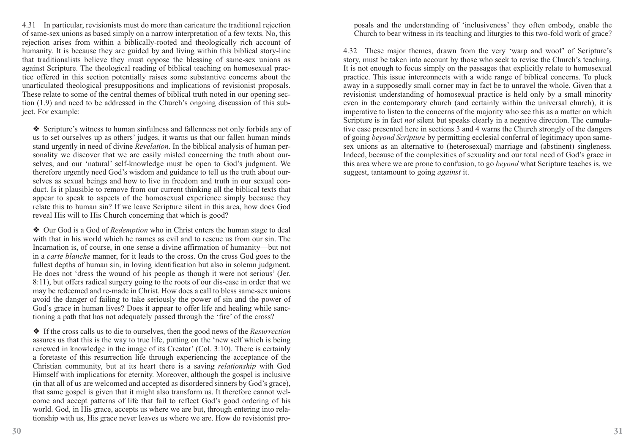4.31 In particular, revisionists must do more than caricature the traditional rejection of same-sex unions as based simply on a narrow interpretation of a few texts. No, this rejection arises from within a biblically-rooted and theologically rich account of humanity. It is because they are guided by and living within this biblical story-line that traditionalists believe they must oppose the blessing of same-sex unions as against Scripture. The theological reading of biblical teaching on homosexual practice offered in this section potentially raises some substantive concerns about the unarticulated theological presuppositions and implications of revisionist proposals. These relate to some of the central themes of biblical truth noted in our opening section (1.9) and need to be addressed in the Church's ongoing discussion of this subject. For example:

❖ Scripture's witness to human sinfulness and fallenness not only forbids any of us to set ourselves up as others' judges, it warns us that our fallen human minds stand urgently in need of divine *Revelation*. In the biblical analysis of human personality we discover that we are easily misled concerning the truth about ourselves, and our 'natural' self-knowledge must be open to God's judgment. We therefore urgently need God's wisdom and guidance to tell us the truth about ourselves as sexual beings and how to live in freedom and truth in our sexual conduct. Is it plausible to remove from our current thinking all the biblical texts that appear to speak to aspects of the homosexual experience simply because they relate this to human sin? If we leave Scripture silent in this area, how does God reveal His will to His Church concerning that which is good?

❖ Our God is a God of *Redemption* who in Christ enters the human stage to deal with that in his world which he names as evil and to rescue us from our sin. The Incarnation is, of course, in one sense a divine affirmation of humanity—but not in a *carte blanche* manner, for it leads to the cross. On the cross God goes to the fullest depths of human sin, in loving identification but also in solemn judgment. He does not 'dress the wound of his people as though it were not serious' (Jer. 8:11), but offers radical surgery going to the roots of our dis-ease in order that we may be redeemed and re-made in Christ. How does a call to bless same-sex unions avoid the danger of failing to take seriously the power of sin and the power of God's grace in human lives? Does it appear to offer life and healing while sanctioning a path that has not adequately passed through the 'fire' of the cross?

❖ If the cross calls us to die to ourselves, then the good news of the *Resurrection* assures us that this is the way to true life, putting on the 'new self which is being renewed in knowledge in the image of its Creator' (Col. 3:10). There is certainly a foretaste of this resurrection life through experiencing the acceptance of the Christian community, but at its heart there is a saving *relationship* with God Himself with implications for eternity. Moreover, although the gospel is inclusive (in that all of us are welcomed and accepted as disordered sinners by God's grace), that same gospel is given that it might also transform us. It therefore cannot welcome and accept patterns of life that fail to reflect God's good ordering of his world. God, in His grace, accepts us where we are but, through entering into relationship with us, His grace never leaves us where we are. How do revisionist proposals and the understanding of 'inclusiveness' they often embody, enable the

4.32 These major themes, drawn from the very 'warp and woof' of Scripture's story, must be taken into account by those who seek to revise the Church's teaching. It is not enough to focus simply on the passages that explicitly relate to homosexual practice. This issue interconnects with a wide range of biblical concerns. To pluck away in a supposedly small corner may in fact be to unravel the whole. Given that a revisionist understanding of homosexual practice is held only by a small minority even in the contemporary church (and certainly within the universal church), it is imperative to listen to the concerns of the majority who see this as a matter on which Scripture is in fact *not* silent but speaks clearly in a negative direction. The cumula tive case presented here in sections 3 and 4 warns the Church strongly of the dangers of going *beyond Scripture* by permitting ecclesial conferral of legitimacy upon same sex unions as an alternative to (heterosexual) marriage and (abstinent) singleness. Indeed, because of the complexities of sexuality and our total need of God's grace in this area where we are prone to confusion, to go *beyond* what Scripture teaches is, we suggest, tantamount to going *against* it.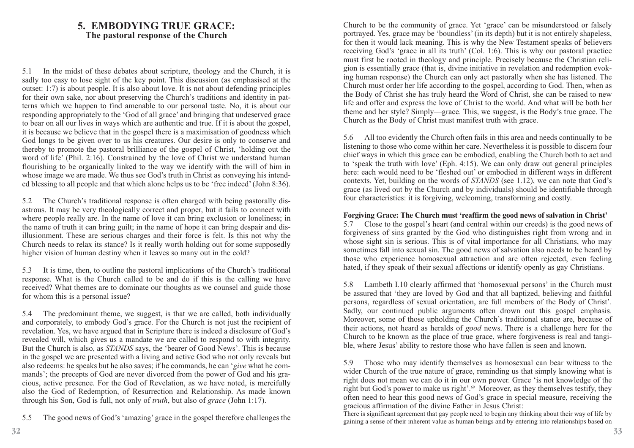# **5. EMBODYING TRUE GRACE: The pastoral response of the Church**

5.1 In the midst of these debates about scripture, theology and the Church, it is sadly too easy to lose sight of the key point. This discussion (as emphasised at the outset: 1:7) is about people. It is also about love. It is not about defending principles for their own sake, nor about preserving the Church's traditions and identity in patterns which we happen to find amenable to our personal taste. No, it is about our responding appropriately to the 'God of all grace' and bringing that undeserved grace to bear on all our lives in ways which are authentic and true. If it is about the gospel, it is because we believe that in the gospel there is a maximisation of goodness which God longs to be given over to us his creatures. Our desire is only to conserve and thereby to promote the pastoral brilliance of the gospel of Christ, 'holding out the word of life' (Phil. 2:16). Constrained by the love of Christ we understand human flourishing to be organically linked to the way we identify with the will of him in whose image we are made. We thus see God's truth in Christ as conveying his intended blessing to all people and that which alone helps us to be 'free indeed' (John 8:36).

5.2 The Church's traditional response is often charged with being pastorally disastrous. It may be very theologically correct and proper, but it fails to connect with where people really are. In the name of love it can bring exclusion or loneliness; in the name of truth it can bring guilt; in the name of hope it can bring despair and disillusionment. These are serious charges and their force is felt. Is this not why the Church needs to relax its stance? Is it really worth holding out for some supposedly higher vision of human destiny when it leaves so many out in the cold?

5.3 It is time, then, to outline the pastoral implications of the Church's traditional response. What is the Church called to be and do if this is the calling we have received? What themes are to dominate our thoughts as we counsel and guide those for whom this is a personal issue?

5.4 The predominant theme, we suggest, is that we are called, both individually and corporately, to embody God's grace. For the Church is not just the recipient of revelation. Yes, we have argued that in Scripture there is indeed a disclosure of God's revealed will, which gives us a mandate we are called to respond to with integrity. But the Church is also, as *STANDS* says, the 'bearer of Good News'. This is because in the gospel we are presented with a living and active God who not only reveals but also redeems: he speaks but he also saves; if he commands, he can '*give* what he commands'; the precepts of God are never divorced from the power of God and his gracious, active presence. For the God of Revelation, as we have noted, is mercifully also the God of Redemption, of Resurrection and Relationship. As made known through his Son, God is full, not only of *truth*, but also of *grace* (John 1:17).

5.5 The good news of God's 'amazing' grace in the gospel therefore challenges the

Church to be the community of grace. Yet 'grace' can be misunderstood or falsely portrayed. Yes, grace may be 'boundless' (in its depth) but it is not entirely shapeless, for then it would lack meaning. This is why the New Testament speaks of believers receiving God's 'grace in all its truth' (Col. 1:6). This is why our pastoral practice must first be rooted in theology and principle. Precisely because the Christian religion is essentially grace (that is, divine initiative in revelation and redemption evoking human response) the Church can only act pastorally when she has listened. The Church must order her life according to the gospel, according to God. Then, when as the Body of Christ she has truly heard the Word of Christ, she can be raised to new life and offer and express the love of Christ to the world. And what will be both her theme and her style? Simply—grace. This, we suggest, is the Body's true grace. The Church as the Body of Christ must manifest truth with grace.

5.6 All too evidently the Church often fails in this area and needs continually to be listening to those who come within her care. Nevertheless it is possible to discern four chief ways in which this grace can be embodied, enabling the Church both to act and to 'speak the truth with love' (Eph. 4:15). We can only draw out general principles here: each would need to be 'fleshed out' or embodied in different ways in different contexts. Yet, building on the words of *STANDS* (see 1.12), we can note that God's grace (as lived out by the Church and by individuals) should be identifiable through four characteristics: it is forgiving, welcoming, transforming and costly.

#### **Forgiving Grace: The Church must 'reaffirm the good news of salvation in Christ'**

5.7 Close to the gospel's heart (and central within our creeds) is the good news of forgiveness of sins granted by the God who distinguishes right from wrong and in whose sight sin is serious. This is of vital importance for all Christians, who may sometimes fall into sexual sin. The good news of salvation also needs to be heard by those who experience homosexual attraction and are often rejected, even feeling hated, if they speak of their sexual affections or identify openly as gay Christians.

5.8 Lambeth I.10 clearly affirmed that 'homosexual persons' in the Church must be assured that 'they are loved by God and that all baptized, believing and faithful persons, regardless of sexual orientation, are full members of the Body of Christ'. Sadly, our continued public arguments often drown out this gospel emphasis. Moreover, some of those upholding the Church's traditional stance are, because of their actions, not heard as heralds of *good* news. There is a challenge here for the Church to be known as the place of true grace, where forgiveness is real and tangible, where Jesus' ability to restore those who have fallen is seen and known.

5.9 Those who may identify themselves as homosexual can bear witness to the wider Church of the true nature of grace, reminding us that simply knowing what is right does not mean we can do it in our own power. Grace 'is not knowledge of the right but God's power to make us right'.<sup>69</sup> Moreover, as they themselves testify, they often need to hear this good news of God's grace in special measure, receiving the gracious affirmation of the divine Father in Jesus Christ:

There is significant agreement that gay people need to begin any thinking about their way of life by gaining a sense of their inherent value as human beings and by entering into relationships based on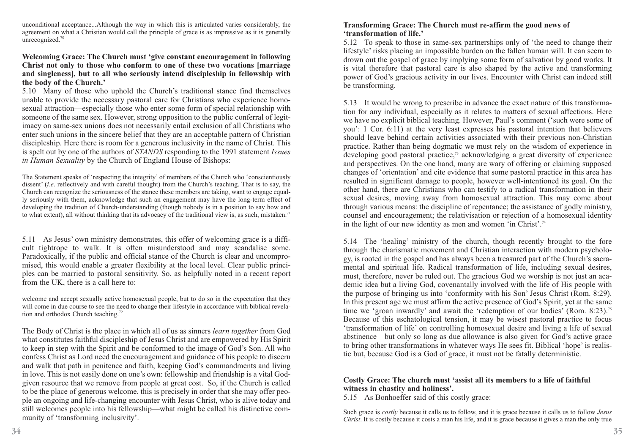unconditional acceptance...Although the way in which this is articulated varies considerably, the agreement on what a Christian would call the principle of grace is as impressive as it is generally unrecognized.<sup>70</sup>

#### **Welcoming Grace: The Church must 'give constant encouragement in following Christ not only to those who conform to one of these two vocations [marriage and singleness], but to all who seriously intend discipleship in fellowship with the body of the Church.'**

5.10 Many of those who uphold the Church's traditional stance find themselves unable to provide the necessary pastoral care for Christians who experience homosexual attraction—especially those who enter some form of special relationship with someone of the same sex. However, strong opposition to the public conferral of legitimacy on same-sex unions does not necessarily entail exclusion of all Christians who enter such unions in the sincere belief that they are an acceptable pattern of Christian discipleship. Here there is room for a generous inclusivity in the name of Christ. This is spelt out by one of the authors of *STANDS* responding to the 1991 statement *Issues in Human Sexuality* by the Church of England House of Bishops:

The Statement speaks of 'respecting the integrity' of members of the Church who 'conscientiously dissent' (*i.e*. reflectively and with careful thought) from the Church's teaching. That is to say, the Church can recognize the seriousness of the stance these members are taking, want to engage equally seriously with them, acknowledge that such an engagement may have the long-term effect of developing the tradition of Church-understanding (though nobody is in a position to say how and to what extent), all without thinking that its advocacy of the traditional view is, as such, mistaken.<sup>71</sup>

5.11 As Jesus' own ministry demonstrates, this offer of welcoming grace is a difficult tightrope to walk. It is often misunderstood and may scandalise some. Paradoxically, if the public and official stance of the Church is clear and uncompromised, this would enable a greater flexibility at the local level. Clear public principles can be married to pastoral sensitivity. So, as helpfully noted in a recent report from the UK, there is a call here to:

welcome and accept sexually active homosexual people, but to do so in the expectation that they will come in due course to see the need to change their lifestyle in accordance with biblical revelation and orthodox Church teaching.<sup>72</sup>

The Body of Christ is the place in which all of us as sinners *learn together* from God what constitutes faithful discipleship of Jesus Christ and are empowered by His Spirit to keep in step with the Spirit and be conformed to the image of God's Son. All who confess Christ as Lord need the encouragement and guidance of his people to discern and walk that path in penitence and faith, keeping God's commandments and living in love. This is not easily done on one's own: fellowship and friendship is a vital Godgiven resource that we remove from people at great cost. So, if the Church is called to be the place of generous welcome, this is precisely in order that she may offer people an ongoing and life-changing encounter with Jesus Christ, who is alive today and still welcomes people into his fellowship—what might be called his distinctive community of 'transforming inclusivity'.

#### **Transforming Grace: The Church must re-affirm the good news of 'transformation of life.'**

5.12 To speak to those in same-sex partnerships only of 'the need to change their lifestyle' risks placing an impossible burden on the fallen human will. It can seem to drown out the gospel of grace by implying some form of salvation by good works. It is vital therefore that pastoral care is also shaped by the active and transforming power of God's gracious activity in our lives. Encounter with Christ can indeed still be transforming.

5.13 It would be wrong to prescribe in advance the exact nature of this transformation for any individual, especially as it relates to matters of sexual affections. Here we have no explicit biblical teaching. However, Paul's comment ('such were some of you': 1 Cor. 6:11) at the very least expresses his pastoral intention that believers should leave behind certain activities associated with their previous non-Christian practice. Rather than being dogmatic we must rely on the wisdom of experience in developing good pastoral practice, $\frac{73}{3}$  acknowledging a great diversity of experience and perspectives. On the one hand, many are wary of offering or claiming supposed changes of 'orientation' and cite evidence that some pastoral practice in this area has resulted in significant damage to people, however well-intentioned its goal. On the other hand, there are Christians who can testify to a radical transformation in their sexual desires, moving away from homosexual attraction. This may come about through various means: the discipline of repentance; the assistance of godly ministry, counsel and encouragement; the relativisation or rejection of a homosexual identity in the light of our new identity as men and women 'in Christ'.74

5.14 The 'healing' ministry of the church, though recently brought to the fore through the charismatic movement and Christian interaction with modern psychology, is rooted in the gospel and has always been a treasured part of the Church's sacramental and spiritual life. Radical transformation of life, including sexual desires, must, therefore, never be ruled out. The gracious God we worship is not just an academic idea but a living God, covenantally involved with the life of His people with the purpose of bringing us into 'conformity with his Son' Jesus Christ (Rom. 8:29). In this present age we must affirm the active presence of God's Spirit, yet at the same time we 'groan inwardly' and await the 'redemption of our bodies' (Rom. 8:23).<sup>75</sup> Because of this eschatological tension, it may be wisest pastoral practice to focus 'transformation of life' on controlling homosexual desire and living a life of sexual abstinence—but only so long as due allowance is also given for God's active grace to bring other transformations in whatever ways He sees fit. Biblical 'hope' is realistic but, because God is a God of grace, it must not be fatally deterministic.

#### **Costly Grace: The church must 'assist all its members to a life of faithful witness in chastity and holiness'.**

5.15 As Bonhoeffer said of this costly grace:

Such grace is *costly* because it calls us to follow, and it is grace because it calls us to follow *Jesus Christ*. It is costly because it costs a man his life, and it is grace because it gives a man the only true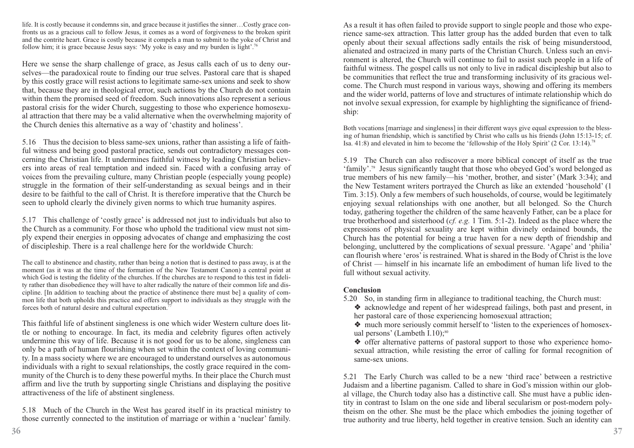life. It is costly because it condemns sin, and grace because it justifies the sinner…Costly grace confronts us as a gracious call to follow Jesus, it comes as a word of forgiveness to the broken spirit and the contrite heart. Grace is costly because it compels a man to submit to the yoke of Christ and follow him; it is grace because Jesus says: 'My yoke is easy and my burden is light'.<sup>76</sup>

Here we sense the sharp challenge of grace, as Jesus calls each of us to deny ourselves—the paradoxical route to finding our true selves. Pastoral care that is shaped by this costly grace will resist actions to legitimate same-sex unions and seek to show that, because they are in theological error, such actions by the Church do not contain within them the promised seed of freedom. Such innovations also represent a serious pastoral crisis for the wider Church, suggesting to those who experience homosexual attraction that there may be a valid alternative when the overwhelming majority of the Church denies this alternative as a way of 'chastity and holiness'.

5.16 Thus the decision to bless same-sex unions, rather than assisting a life of faithful witness and being good pastoral practice, sends out contradictory messages concerning the Christian life. It undermines faithful witness by leading Christian believers into areas of real temptation and indeed sin. Faced with a confusing array of voices from the prevailing culture, many Christian people (especially young people) struggle in the formation of their self-understanding as sexual beings and in their desire to be faithful to the call of Christ. It is therefore imperative that the Church be seen to uphold clearly the divinely given norms to which true humanity aspires.

5.17 This challenge of 'costly grace' is addressed not just to individuals but also to the Church as a community. For those who uphold the traditional view must not simply expend their energies in opposing advocates of change and emphasizing the cost of discipleship. There is a real challenge here for the worldwide Church:

The call to abstinence and chastity, rather than being a notion that is destined to pass away, is at the moment (as it was at the time of the formation of the New Testament Canon) a central point at which God is testing the fidelity of the churches. If the churches are to respond to this test in fidelity rather than disobedience they will have to alter radically the nature of their common life and discipline. [In addition to teaching about the practice of abstinence there must be] a quality of common life that both upholds this practice and offers support to individuals as they struggle with the forces both of natural desire and cultural expectation.<sup>7</sup>

This faithful life of abstinent singleness is one which wider Western culture does little or nothing to encourage. In fact, its media and celebrity figures often actively undermine this way of life. Because it is not good for us to be alone, singleness can only be a path of human flourishing when set within the context of loving community. In a mass society where we are encouraged to understand ourselves as autonomous individuals with a right to sexual relationships, the costly grace required in the community of the Church is to deny these powerful myths. In their place the Church must affirm and live the truth by supporting single Christians and displaying the positive attractiveness of the life of abstinent singleness.

5.18 Much of the Church in the West has geared itself in its practical ministry to those currently connected to the institution of marriage or within a 'nuclear' family.

As a result it has often failed to provide support to single people and those who experience same-sex attraction. This latter group has the added burden that even to talk openly about their sexual affections sadly entails the risk of being misunderstood, alienated and ostracized in many parts of the Christian Church. Unless such an environment is altered, the Church will continue to fail to assist such people in a life of faithful witness. The gospel calls us not only to live in radical discipleship but also to be communities that reflect the true and transforming inclusivity of its gracious welcome. The Church must respond in various ways, showing and offering its members and the wider world, patterns of love and structures of intimate relationship which do not involve sexual expression, for example by highlighting the significance of friendship:

Both vocations [marriage and singleness] in their different ways give equal expression to the blessing of human friendship, which is sanctified by Christ who calls us his friends (John 15:13-15; cf. Isa. 41:8) and elevated in him to become the 'fellowship of the Holy Spirit' (2 Cor. 13:14).<sup>78</sup>

5.19 The Church can also rediscover a more biblical concept of itself as the true 'family'.79 Jesus significantly taught that those who obeyed God's word belonged as true members of his new family—his 'mother, brother, and sister' (Mark 3:34); and the New Testament writers portrayed the Church as like an extended 'household' (1 Tim. 3:15). Only a few members of such households, of course, would be legitimately enjoying sexual relationships with one another, but all belonged. So the Church today, gathering together the children of the same heavenly Father, can be a place for true brotherhood and sisterhood (*cf. e.g.* 1 Tim. 5:1-2). Indeed as the place where the expressions of physical sexuality are kept within divinely ordained bounds, the Church has the potential for being a true haven for a new depth of friendship and belonging, uncluttered by the complications of sexual pressure. 'Agape' and 'philia' can flourish where 'eros' is restrained. What is shared in the Body of Christ is the love of Christ — himself in his incarnate life an embodiment of human life lived to the full without sexual activity.

#### **Conclusion**

5.20 So, in standing firm in allegiance to traditional teaching, the Church must:

❖ acknowledge and repent of her widespread failings, both past and present, in her pastoral care of those experiencing homosexual attraction;

❖ much more seriously commit herself to 'listen to the experiences of homosexual persons' (Lambeth  $I.10$ );<sup>80</sup>

❖ offer alternative patterns of pastoral support to those who experience homosexual attraction, while resisting the error of calling for formal recognition of same-sex unions.

5.21 The Early Church was called to be a new 'third race' between a restrictive Judaism and a libertine paganism. Called to share in God's mission within our global village, the Church today also has a distinctive call. She must have a public identity in contrast to Islam on the one side and liberal secularism or post-modern polytheism on the other. She must be the place which embodies the joining together of true authority and true liberty, held together in creative tension. Such an identity can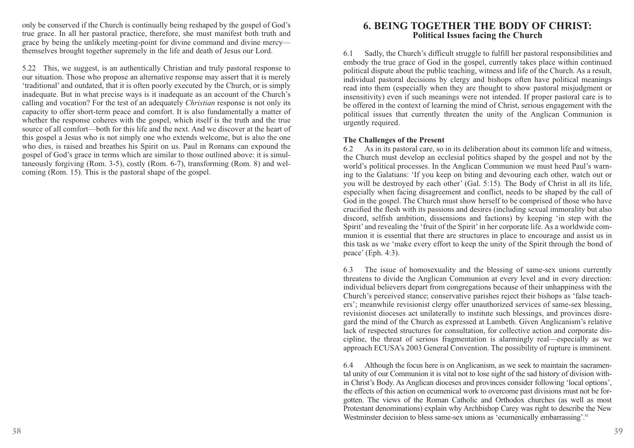only be conserved if the Church is continually being reshaped by the gospel of God's true grace. In all her pastoral practice, therefore, she must manifest both truth and grace by being the unlikely meeting-point for divine command and divine mercy themselves brought together supremely in the life and death of Jesus our Lord.

5.22 This, we suggest, is an authentically Christian and truly pastoral response to our situation. Those who propose an alternative response may assert that it is merely 'traditional' and outdated, that it is often poorly executed by the Church, or is simply inadequate. But in what precise ways is it inadequate as an account of the Church's calling and vocation? For the test of an adequately *Christian* response is not only its capacity to offer short-term peace and comfort. It is also fundamentally a matter of whether the response coheres with the gospel, which itself is the truth and the true source of all comfort—both for this life and the next. And we discover at the heart of this gospel a Jesus who is not simply one who extends welcome, but is also the one who dies, is raised and breathes his Spirit on us. Paul in Romans can expound the gospel of God's grace in terms which are similar to those outlined above: it is simultaneously forgiving (Rom. 3-5), costly (Rom. 6-7), transforming (Rom. 8) and welcoming (Rom. 15). This is the pastoral shape of the gospel.

# **6. BEING TOGETHER THE BODY OF CHRIST: Political Issues facing the Church**

6.1 Sadly, the Church's difficult struggle to fulfill her pastoral responsibilities and embody the true grace of God in the gospel, currently takes place within continued political dispute about the public teaching, witness and life of the Church. As a result, individual pastoral decisions by clergy and bishops often have political meanings read into them (especially when they are thought to show pastoral misjudgment or insensitivity) even if such meanings were not intended. If proper pastoral care is to be offered in the context of learning the mind of Christ, serious engagement with the political issues that currently threaten the unity of the Anglican Communion is urgently required.

#### **The Challenges of the Present**

6.2 As in its pastoral care, so in its deliberation about its common life and witness, the Church must develop an ecclesial politics shaped by the gospel and not by the world's political processes. In the Anglican Communion we must heed Paul's warning to the Galatians: 'If you keep on biting and devouring each other, watch out or you will be destroyed by each other' (Gal. 5:15). The Body of Christ in all its life, especially when facing disagreement and conflict, needs to be shaped by the call of God in the gospel. The Church must show herself to be comprised of those who have crucified the flesh with its passions and desires (including sexual immorality but also discord, selfish ambition, dissensions and factions) by keeping 'in step with the Spirit' and revealing the 'fruit of the Spirit' in her corporate life. As a worldwide communion it is essential that there are structures in place to encourage and assist us in this task as we 'make every effort to keep the unity of the Spirit through the bond of peace' (Eph. 4:3).

6.3 The issue of homosexuality and the blessing of same-sex unions currently threatens to divide the Anglican Communion at every level and in every direction: individual believers depart from congregations because of their unhappiness with the Church's perceived stance; conservative parishes reject their bishops as 'false teachers'; meanwhile revisionist clergy offer unauthorized services of same-sex blessing, revisionist dioceses act unilaterally to institute such blessings, and provinces disregard the mind of the Church as expressed at Lambeth. Given Anglicanism's relative lack of respected structures for consultation, for collective action and corporate discipline, the threat of serious fragmentation is alarmingly real—especially as we approach ECUSA's 2003 General Convention. The possibility of rupture is imminent.

6.4 Although the focus here is on Anglicanism, as we seek to maintain the sacramental unity of our Communion it is vital not to lose sight of the sad history of division within Christ's Body. As Anglican dioceses and provinces consider following 'local options', the effects of this action on ecumenical work to overcome past divisions must not be forgotten. The views of the Roman Catholic and Orthodox churches (as well as most Protestant denominations) explain why Archbishop Carey was right to describe the New Westminster decision to bless same-sex unions as 'ecumenically embarrassing'.<sup>81</sup>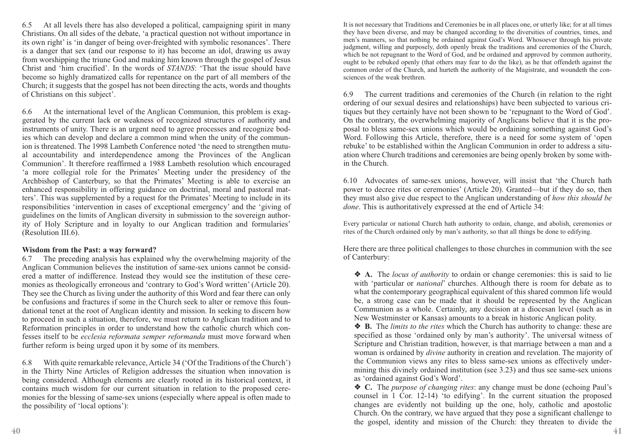6.5 At all levels there has also developed a political, campaigning spirit in many Christians. On all sides of the debate, 'a practical question not without importance in its own right' is 'in danger of being over-freighted with symbolic resonances'. There is a danger that sex (and our response to it) has become an idol, drawing us away from worshipping the triune God and making him known through the gospel of Jesus Christ and 'him crucified'. In the words of *STANDS*: 'That the issue should have become so highly dramatized calls for repentance on the part of all members of the Church; it suggests that the gospel has not been directing the acts, words and thoughts of Christians on this subject'.

6.6 At the international level of the Anglican Communion, this problem is exaggerated by the current lack or weakness of recognized structures of authority and instruments of unity. There is an urgent need to agree processes and recognize bodies which can develop and declare a common mind when the unity of the communion is threatened. The 1998 Lambeth Conference noted 'the need to strengthen mutual accountability and interdependence among the Provinces of the Anglican Communion'. It therefore reaffirmed a 1988 Lambeth resolution which encouraged 'a more collegial role for the Primates' Meeting under the presidency of the Archbishop of Canterbury, so that the Primates' Meeting is able to exercise an enhanced responsibility in offering guidance on doctrinal, moral and pastoral matters'. This was supplemented by a request for the Primates' Meeting to include in its responsibilities 'intervention in cases of exceptional emergency' and the 'giving of guidelines on the limits of Anglican diversity in submission to the sovereign authority of Holy Scripture and in loyalty to our Anglican tradition and formularies' (Resolution III.6).

#### **Wisdom from the Past: a way forward?**

6.7 The preceding analysis has explained why the overwhelming majority of the Anglican Communion believes the institution of same-sex unions cannot be considered a matter of indifference. Instead they would see the institution of these ceremonies as theologically erroneous and 'contrary to God's Word written' (Article 20). They see the Church as living under the authority of this Word and fear there can only be confusions and fractures if some in the Church seek to alter or remove this foundational tenet at the root of Anglican identity and mission. In seeking to discern how to proceed in such a situation, therefore, we must return to Anglican tradition and to Reformation principles in order to understand how the catholic church which confesses itself to be *ecclesia reformata semper reformanda* must move forward when further reform is being urged upon it by some of its members.

6.8 With quite remarkable relevance, Article 34 ('Of the Traditions of the Church') in the Thirty Nine Articles of Religion addresses the situation when innovation is being considered. Although elements are clearly rooted in its historical context, it contains much wisdom for our current situation in relation to the proposed ceremonies for the blessing of same-sex unions (especially where appeal is often made to the possibility of 'local options'):

It is not necessary that Traditions and Ceremonies be in all places one, or utterly like; for at all times they have been diverse, and may be changed according to the diversities of countries, times, and men's manners, so that nothing be ordained against God's Word. Whosoever through his private judgment, willing and purposely, doth openly break the traditions and ceremonies of the Church, which be not repugnant to the Word of God, and be ordained and approved by common authority, ought to be rebuked openly (that others may fear to do the like), as he that offendeth against the common order of the Church, and hurteth the authority of the Magistrate, and woundeth the consciences of the weak brethren.

6.9 The current traditions and ceremonies of the Church (in relation to the right ordering of our sexual desires and relationships) have been subjected to various critiques but they certainly have not been shown to be 'repugnant to the Word of God'. On the contrary, the overwhelming majority of Anglicans believe that it is the proposal to bless same-sex unions which would be ordaining something against God's Word. Following this Article, therefore, there is a need for some system of 'open rebuke' to be established within the Anglican Communion in order to address a situation where Church traditions and ceremonies are being openly broken by some within the Church.

6.10 Advocates of same-sex unions, however, will insist that 'the Church hath power to decree rites or ceremonies' (Article 20). Granted—but if they do so, then they must also give due respect to the Anglican understanding of *how this should be done*. This is authoritatively expressed at the end of Article 34:

Every particular or national Church hath authority to ordain, change, and abolish, ceremonies or rites of the Church ordained only by man's authority, so that all things be done to edifying.

Here there are three political challenges to those churches in communion with the see of Canterbury:

❖ **A.** The *locus of authority* to ordain or change ceremonies: this is said to lie with 'particular or *national*' churches. Although there is room for debate as to what the contemporary geographical equivalent of this shared common life would be, a strong case can be made that it should be represented by the Anglican Communion as a whole. Certainly, any decision at a diocesan level (such as in New Westminster or Kansas) amounts to a break in historic Anglican polity.

❖ **B.** The *limits to the rites* which the Church has authority to change: these are specified as those 'ordained only by man's authority'. The universal witness of Scripture and Christian tradition, however, is that marriage between a man and a woman is ordained by *divine* authority in creation and revelation. The majority of the Communion views any rites to bless same-sex unions as effectively undermining this divinely ordained institution (see 3.23) and thus see same-sex unions as 'ordained against God's Word'.

❖ **C.** The *purpose of changing rites*: any change must be done (echoing Paul's counsel in 1 Cor. 12-14) 'to edifying'. In the current situation the proposed changes are evidently not building up the one, holy, catholic and apostolic Church. On the contrary, we have argued that they pose a significant challenge to the gospel, identity and mission of the Church: they threaten to divide the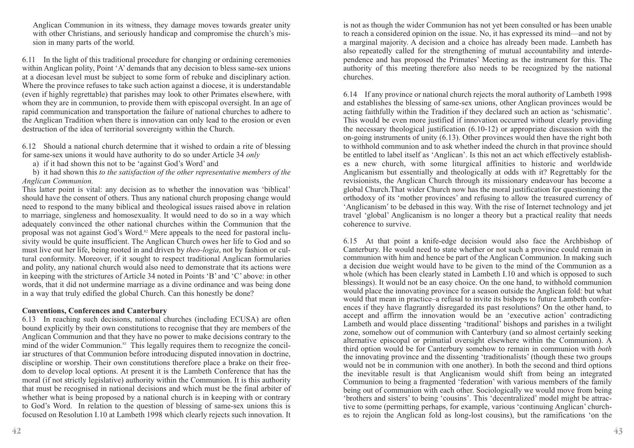Anglican Communion in its witness, they damage moves towards greater unity with other Christians, and seriously handicap and compromise the church's mission in many parts of the world.

6.11 In the light of this traditional procedure for changing or ordaining ceremonies within Anglican polity, Point 'A' demands that any decision to bless same-sex unions at a diocesan level must be subject to some form of rebuke and disciplinary action. Where the province refuses to take such action against a diocese, it is understandable (even if highly regrettable) that parishes may look to other Primates elsewhere, with whom they are in communion, to provide them with episcopal oversight. In an age of rapid communication and transportation the failure of national churches to adhere to the Anglican Tradition when there is innovation can only lead to the erosion or even destruction of the idea of territorial sovereignty within the Church.

6.12 Should a national church determine that it wished to ordain a rite of blessing for same-sex unions it would have authority to do so under Article 34 *only*

a) if it had shown this not to be 'against God's Word' and

b) it had shown this *to the satisfaction of the other representative members of the Anglican Communion.*

This latter point is vital: any decision as to whether the innovation was 'biblical' should have the consent of others. Thus any national church proposing change would need to respond to the many biblical and theological issues raised above in relation to marriage, singleness and homosexuality. It would need to do so in a way which adequately convinced the other national churches within the Communion that the proposal was not against God's Word.82 Mere appeals to the need for pastoral inclusivity would be quite insufficient. The Anglican Church owes her life to God and so must live out her life, being rooted in and driven by *theo-logia*, not by fashion or cultural conformity. Moreover, if it sought to respect traditional Anglican formularies and polity, any national church would also need to demonstrate that its actions were in keeping with the strictures of Article 34 noted in Points 'B' and 'C' above: in other words, that it did not undermine marriage as a divine ordinance and was being done in a way that truly edified the global Church. Can this honestly be done?

#### **Conventions, Conferences and Canterbury**

6.13 In reaching such decisions, national churches (including ECUSA) are often bound explicitly by their own constitutions to recognise that they are members of the Anglican Communion and that they have no power to make decisions contrary to the mind of the wider Communion.<sup>83</sup> This legally requires them to recognize the conciliar structures of that Communion before introducing disputed innovation in doctrine, discipline or worship. Their own constitutions therefore place a brake on their freedom to develop local options. At present it is the Lambeth Conference that has the moral (if not strictly legislative) authority within the Communion. It is this authority that must be recognised in national decisions and which must be the final arbiter of whether what is being proposed by a national church is in keeping with or contrary to God's Word. In relation to the question of blessing of same-sex unions this is focused on Resolution I.10 at Lambeth 1998 which clearly rejects such innovation. It

is not as though the wider Communion has not yet been consulted or has been unable to reach a considered opinion on the issue. No, it has expressed its mind—and not by a marginal majority. A decision and a choice has already been made. Lambeth has also repeatedly called for the strengthening of mutual accountability and interdependence and has proposed the Primates' Meeting as the instrument for this. The authority of this meeting therefore also needs to be recognized by the national churches.

6.14 If any province or national church rejects the moral authority of Lambeth 1998 and establishes the blessing of same-sex unions, other Anglican provinces would be acting faithfully within the Tradition if they declared such an action as 'schismatic'. This would be even more justified if innovation occurred without clearly providing the necessary theological justification (6.10-12) or appropriate discussion with the on-going instruments of unity (6.13). Other provinces would then have the right both to withhold communion and to ask whether indeed the church in that province should be entitled to label itself as 'Anglican'. Is this not an act which effectively establishes a new church, with some liturgical affinities to historic and worldwide Anglicanism but essentially and theologically at odds with it? Regrettably for the revisionists, the Anglican Church through its missionary endeavour has become a global Church.That wider Church now has the moral justification for questioning the orthodoxy of its 'mother provinces' and refusing to allow the treasured currency of 'Anglicanism' to be debased in this way. With the rise of Internet technology and jet travel 'global' Anglicanism is no longer a theory but a practical reality that needs coherence to survive.

6.15 At that point a knife-edge decision would also face the Archbishop of Canterbury. He would need to state whether or not such a province could remain in communion with him and hence be part of the Anglican Communion. In making such a decision due weight would have to be given to the mind of the Communion as a whole (which has been clearly stated in Lambeth I.10 and which is opposed to such blessings). It would not be an easy choice. On the one hand, to withhold communion would place the innovating province for a season outside the Anglican fold: but what would that mean in practice–a refusal to invite its bishops to future Lambeth conferences if they have flagrantly disregarded its past resolutions? On the other hand, to accept and affirm the innovation would be an 'executive action' contradicting Lambeth and would place dissenting 'traditional' bishops and parishes in a twilight zone, somehow out of communion with Canterbury (and so almost certainly seeking alternative episcopal or primatial oversight elsewhere within the Communion). A third option would be for Canterbury somehow to remain in communion with *both* the innovating province and the dissenting 'traditionalists' (though these two groups would not be in communion with one another). In both the second and third options the inevitable result is that Anglicanism would shift from being an integrated Communion to being a fragmented 'federation' with various members of the family being out of communion with each other. Sociologically we would move from being 'brothers and sisters' to being 'cousins'. This 'decentralized' model might be attractive to some (permitting perhaps, for example, various 'continuing Anglican' churches to rejoin the Anglican fold as long-lost cousins), but the ramifications 'on the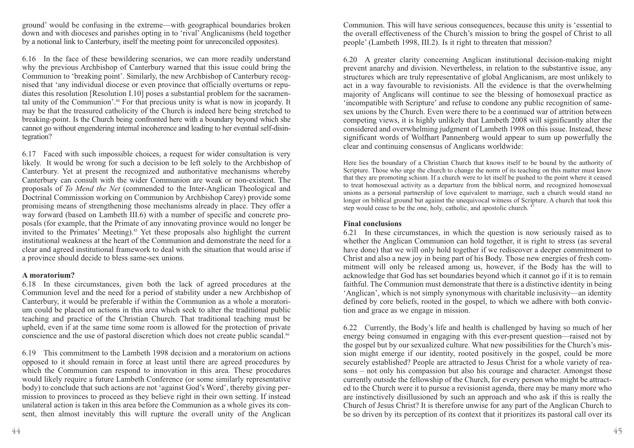ground' would be confusing in the extreme—with geographical boundaries broken down and with dioceses and parishes opting in to 'rival' Anglicanisms (held together by a notional link to Canterbury, itself the meeting point for unreconciled opposites).

6.16 In the face of these bewildering scenarios, we can more readily understand why the previous Archbishop of Canterbury warned that this issue could bring the Communion to 'breaking point'. Similarly, the new Archbishop of Canterbury recognised that 'any individual diocese or even province that officially overturns or repudiates this resolution [Resolution I.10] poses a substantial problem for the sacramental unity of the Communion'.<sup>84</sup> For that precious unity is what is now in jeopardy. It may be that the treasured catholicity of the Church is indeed here being stretched to breaking-point. Is the Church being confronted here with a boundary beyond which she cannot go without engendering internal incoherence and leading to her eventual self-disintegration?

6.17 Faced with such impossible choices, a request for wider consultation is very likely. It would be wrong for such a decision to be left solely to the Archbishop of Canterbury. Yet at present the recognized and authoritative mechanisms whereby Canterbury can consult with the wider Communion are weak or non-existent. The proposals of *To Mend the Net* (commended to the Inter-Anglican Theological and Doctrinal Commission working on Communion by Archbishop Carey) provide some promising means of strengthening those mechanisms already in place. They offer a way forward (based on Lambeth III.6) with a number of specific and concrete proposals (for example, that the Primate of any innovating province would no longer be invited to the Primates' Meeting).<sup>85</sup> Yet these proposals also highlight the current institutional weakness at the heart of the Communion and demonstrate the need for a clear and agreed institutional framework to deal with the situation that would arise if a province should decide to bless same-sex unions.

#### **A moratorium?**

6.18 In these circumstances, given both the lack of agreed procedures at the Communion level and the need for a period of stability under a new Archbishop of Canterbury, it would be preferable if within the Communion as a whole a moratorium could be placed on actions in this area which seek to alter the traditional public teaching and practice of the Christian Church. That traditional teaching must be upheld, even if at the same time some room is allowed for the protection of private conscience and the use of pastoral discretion which does not create public scandal.<sup>86</sup>

6.19 This commitment to the Lambeth 1998 decision and a moratorium on actions opposed to it should remain in force at least until there are agreed procedures by which the Communion can respond to innovation in this area. These procedures would likely require a future Lambeth Conference (or some similarly representative body) to conclude that such actions are not 'against God's Word', thereby giving permission to provinces to proceed as they believe right in their own setting. If instead unilateral action is taken in this area before the Communion as a whole gives its consent, then almost inevitably this will rupture the overall unity of the Anglican

Communion. This will have serious consequences, because this unity is 'essential to the overall effectiveness of the Church's mission to bring the gospel of Christ to all people' (Lambeth 1998, III.2). Is it right to threaten that mission?

6.20 A greater clarity concerning Anglican institutional decision-making might prevent anarchy and division. Nevertheless, in relation to the substantive issue, any structures which are truly representative of global Anglicanism, are most unlikely to act in a way favourable to revisionists. All the evidence is that the overwhelming majority of Anglicans will continue to see the blessing of homosexual practice as 'incompatible with Scripture' and refuse to condone any public recognition of samesex unions by the Church. Even were there to be a continued war of attrition between competing views, it is highly unlikely that Lambeth 2008 will significantly alter the considered and overwhelming judgment of Lambeth 1998 on this issue. Instead, these significant words of Wolfhart Pannenberg would appear to sum up powerfully the clear and continuing consensus of Anglicans worldwide:

Here lies the boundary of a Christian Church that knows itself to be bound by the authority of Scripture. Those who urge the church to change the norm of its teaching on this matter must know that they are promoting schism. If a church were to let itself be pushed to the point where it ceased to treat homosexual activity as a departure from the biblical norm, and recognized homosexual unions as a personal partnership of love equivalent to marriage, such a church would stand no longer on biblical ground but against the unequivocal witness of Scripture. A church that took this step would cease to be the one, holy, catholic, and apostolic church. <sup>87</sup>

#### **Final conclusions**

6.21 In these circumstances, in which the question is now seriously raised as to whether the Anglican Communion can hold together, it is right to stress (as several have done) that we will only hold together if we rediscover a deeper commitment to Christ and also a new joy in being part of his Body. Those new energies of fresh commitment will only be released among us, however, if the Body has the will to acknowledge that God has set boundaries beyond which it cannot go if it is to remain faithful. The Communion must demonstrate that there is a distinctive identity in being 'Anglican', which is not simply synonymous with charitable inclusivity—an identity defined by core beliefs, rooted in the gospel, to which we adhere with both conviction and grace as we engage in mission.

6.22 Currently, the Body's life and health is challenged by having so much of her energy being consumed in engaging with this ever-present question—raised not by the gospel but by our sexualized culture. What new possibilities for the Church's mission might emerge if our identity, rooted positively in the gospel, could be more securely established? People are attracted to Jesus Christ for a whole variety of reasons – not only his compassion but also his courage and character. Amongst those currently outside the fellowship of the Church, for every person who might be attracted to the Church were it to pursue a revisionist agenda, there may be many more who are instinctively disillusioned by such an approach and who ask if this is really the Church of Jesus Christ? It is therefore unwise for any part of the Anglican Church to be so driven by its perception of its context that it prioritizes its pastoral call over its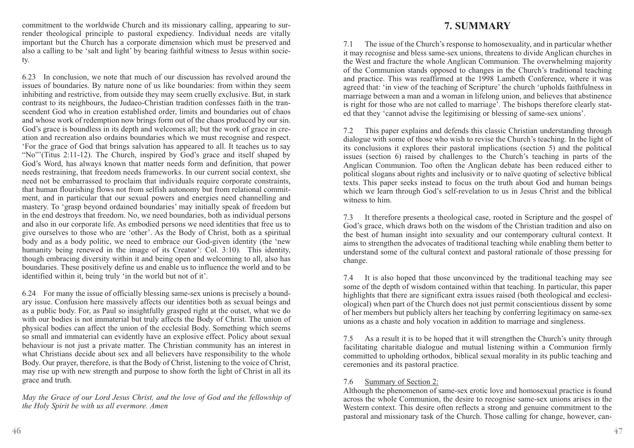commitment to the worldwide Church and its missionary calling, appearing to surrender theological principle to pastoral expediency. Individual needs are vitally important but the Church has a corporate dimension which must be preserved and also a calling to be 'salt and light' by bearing faithful witness to Jesus within society.

6.23 In conclusion, we note that much of our discussion has revolved around the issues of boundaries. By nature none of us like boundaries: from within they seem inhibiting and restrictive, from outside they may seem cruelly exclusive. But, in stark contrast to its neighbours, the Judaeo-Christian tradition confesses faith in the transcendent God who in creation established order, limits and boundaries out of chaos and whose work of redemption now brings form out of the chaos produced by our sin. God's grace is boundless in its depth and welcomes all; but the work of grace in creation and recreation also ordains boundaries which we must recognise and respect. 'For the grace of God that brings salvation has appeared to all. It teaches us to say "No"'(Titus 2:11-12). The Church, inspired by God's grace and itself shaped by God's Word, has always known that matter needs form and definition, that power needs restraining, that freedom needs frameworks. In our current social context, she need not be embarrassed to proclaim that individuals require corporate constraints, that human flourishing flows not from selfish autonomy but from relational commitment, and in particular that our sexual powers and energies need channelling and mastery. To 'grasp beyond ordained boundaries' may initially speak of freedom but in the end destroys that freedom. No, we need boundaries, both as individual persons and also in our corporate life. As embodied persons we need identities that free us to give ourselves to those who are 'other'. As the Body of Christ, both as a spiritual body and as a body politic, we need to embrace our God-given identity (the 'new humanity being renewed in the image of its Creator': Col. 3:10). This identity, though embracing diversity within it and being open and welcoming to all, also has boundaries. These positively define us and enable us to influence the world and to be identified within it, being truly 'in the world but not of it'.

6.24 For many the issue of officially blessing same-sex unions is precisely a boundary issue. Confusion here massively affects our identities both as sexual beings and as a public body. For, as Paul so insightfully grasped right at the outset, what we do with our bodies is not immaterial but truly affects the Body of Christ. The union of physical bodies can affect the union of the ecclesial Body. Something which seems so small and immaterial can evidently have an explosive effect. Policy about sexual behaviour is not just a private matter. The Christian community has an interest in what Christians decide about sex and all believers have responsibility to the whole Body. Our prayer, therefore, is that the Body of Christ, listening to the voice of Christ, may rise up with new strength and purpose to show forth the light of Christ in all its grace and truth.

*May the Grace of our Lord Jesus Christ, and the love of God and the fellowship of the Holy Spirit be with us all evermore. Amen*

# **7. SUMMARY**

7.1 The issue of the Church's response to homosexuality, and in particular whether it may recognise and bless same-sex unions, threatens to divide Anglican churches in the West and fracture the whole Anglican Communion. The overwhelming majority of the Communion stands opposed to changes in the Church's traditional teaching and practice. This was reaffirmed at the 1998 Lambeth Conference, where it was agreed that: 'in view of the teaching of Scripture' the church 'upholds faithfulness in marriage between a man and a woman in lifelong union, and believes that abstinence is right for those who are not called to marriage'. The bishops therefore clearly stated that they 'cannot advise the legitimising or blessing of same-sex unions'.

7.2 This paper explains and defends this classic Christian understanding through dialogue with some of those who wish to revise the Church's teaching. In the light of its conclusions it explores their pastoral implications (section 5) and the political issues (section 6) raised by challenges to the Church's teaching in parts of the Anglican Communion. Too often the Anglican debate has been reduced either to political slogans about rights and inclusivity or to naïve quoting of selective biblical texts. This paper seeks instead to focus on the truth about God and human beings which we learn through God's self-revelation to us in Jesus Christ and the biblical witness to him.

7.3 It therefore presents a theological case, rooted in Scripture and the gospel of God's grace, which draws both on the wisdom of the Christian tradition and also on the best of human insight into sexuality and our contemporary cultural context. It aims to strengthen the advocates of traditional teaching while enabling them better to understand some of the cultural context and pastoral rationale of those pressing for change.

7.4 It is also hoped that those unconvinced by the traditional teaching may see some of the depth of wisdom contained within that teaching. In particular, this paper highlights that there are significant extra issues raised (both theological and ecclesiological) when part of the Church does not just permit conscientious dissent by some of her members but publicly alters her teaching by conferring legitimacy on same-sex unions as a chaste and holy vocation in addition to marriage and singleness.

7.5 As a result it is to be hoped that it will strengthen the Church's unity through facilitating charitable dialogue and mutual listening within a Communion firmly committed to upholding orthodox, biblical sexual morality in its public teaching and ceremonies and its pastoral practice.

# 7.6 Summary of Section 2:

Although the phenomenon of same-sex erotic love and homosexual practice is found across the whole Communion, the desire to recognise same-sex unions arises in the Western context. This desire often reflects a strong and genuine commitment to the pastoral and missionary task of the Church. Those calling for change, however, can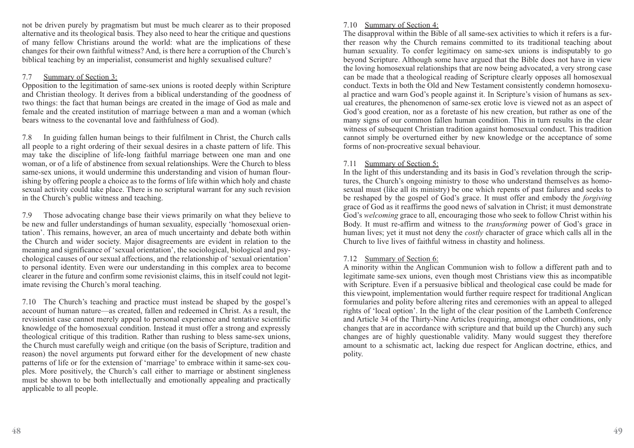not be driven purely by pragmatism but must be much clearer as to their proposed alternative and its theological basis. They also need to hear the critique and questions of many fellow Christians around the world: what are the implications of these changes for their own faithful witness? And, is there here a corruption of the Church's biblical teaching by an imperialist, consumerist and highly sexualised culture?

## 7.7 Summary of Section 3:

Opposition to the legitimation of same-sex unions is rooted deeply within Scripture and Christian theology. It derives from a biblical understanding of the goodness of two things: the fact that human beings are created in the image of God as male and female and the created institution of marriage between a man and a woman (which bears witness to the covenantal love and faithfulness of God).

7.8 In guiding fallen human beings to their fulfilment in Christ, the Church calls all people to a right ordering of their sexual desires in a chaste pattern of life. This may take the discipline of life-long faithful marriage between one man and one woman, or of a life of abstinence from sexual relationships. Were the Church to bless same-sex unions, it would undermine this understanding and vision of human flourishing by offering people a choice as to the forms of life within which holy and chaste sexual activity could take place. There is no scriptural warrant for any such revision in the Church's public witness and teaching.

7.9 Those advocating change base their views primarily on what they believe to be new and fuller understandings of human sexuality, especially 'homosexual orientation'. This remains, however, an area of much uncertainty and debate both within the Church and wider society. Major disagreements are evident in relation to the meaning and significance of 'sexual orientation', the sociological, biological and psychological causes of our sexual affections, and the relationship of 'sexual orientation' to personal identity. Even were our understanding in this complex area to become clearer in the future and confirm some revisionist claims, this in itself could not legitimate revising the Church's moral teaching.

7.10 The Church's teaching and practice must instead be shaped by the gospel's account of human nature—as created, fallen and redeemed in Christ. As a result, the revisionist case cannot merely appeal to personal experience and tentative scientific knowledge of the homosexual condition. Instead it must offer a strong and expressly theological critique of this tradition. Rather than rushing to bless same-sex unions, the Church must carefully weigh and critique (on the basis of Scripture, tradition and reason) the novel arguments put forward either for the development of new chaste patterns of life or for the extension of 'marriage' to embrace within it same-sex couples. More positively, the Church's call either to marriage or abstinent singleness must be shown to be both intellectually and emotionally appealing and practically applicable to all people.

## 7.10 Summary of Section 4:

The disapproval within the Bible of all same-sex activities to which it refers is a further reason why the Church remains committed to its traditional teaching about human sexuality. To confer legitimacy on same-sex unions is indisputably to go beyond Scripture. Although some have argued that the Bible does not have in view the loving homosexual relationships that are now being advocated, a very strong case can be made that a theological reading of Scripture clearly opposes all homosexual conduct. Texts in both the Old and New Testament consistently condemn homosexual practice and warn God's people against it. In Scripture's vision of humans as sexual creatures, the phenomenon of same-sex erotic love is viewed not as an aspect of God's good creation, nor as a foretaste of his new creation, but rather as one of the many signs of our common fallen human condition. This in turn results in the clear witness of subsequent Christian tradition against homosexual conduct. This tradition cannot simply be overturned either by new knowledge or the acceptance of some forms of non-procreative sexual behaviour.

## 7.11 Summary of Section 5:

In the light of this understanding and its basis in God's revelation through the scriptures, the Church's ongoing ministry to those who understand themselves as homosexual must (like all its ministry) be one which repents of past failures and seeks to be reshaped by the gospel of God's grace. It must offer and embody the *forgiving* grace of God as it reaffirms the good news of salvation in Christ; it must demonstrate God's *welcoming* grace to all, encouraging those who seek to follow Christ within his Body. It must re-affirm and witness to the *transforming* power of God's grace in human lives; yet it must not deny the *costly* character of grace which calls all in the Church to live lives of faithful witness in chastity and holiness.

## 7.12 Summary of Section 6:

A minority within the Anglican Communion wish to follow a different path and to legitimate same-sex unions, even though most Christians view this as incompatible with Scripture. Even if a persuasive biblical and theological case could be made for this viewpoint, implementation would further require respect for traditional Anglican formularies and polity before altering rites and ceremonies with an appeal to alleged rights of 'local option'. In the light of the clear position of the Lambeth Conference and Article 34 of the Thirty-Nine Articles (requiring, amongst other conditions, only changes that are in accordance with scripture and that build up the Church) any such changes are of highly questionable validity. Many would suggest they therefore amount to a schismatic act, lacking due respect for Anglican doctrine, ethics, and polity.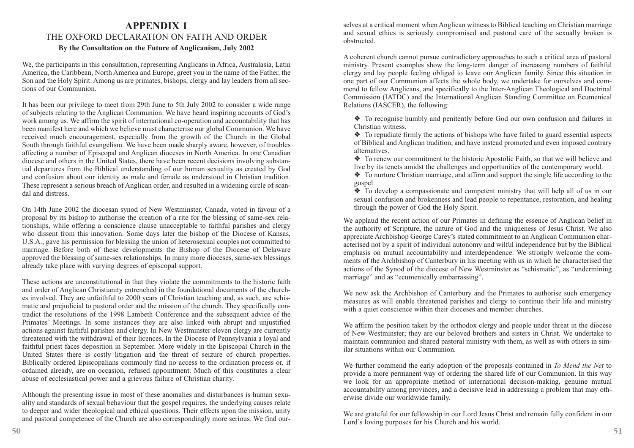# **APPENDIX 1** THE OXFORD DECLARATION ON FAITH AND ORDER **By the Consultation on the Future of Anglicanism, July 2002**

We, the participants in this consultation, representing Anglicans in Africa, Australasia, Latin America, the Caribbean, North America and Europe, greet you in the name of the Father, the Son and the Holy Spirit. Among us are primates, bishops, clergy and lay leaders from all sections of our Communion.

It has been our privilege to meet from 29th June to 5th July 2002 to consider a wide range of subjects relating to the Anglican Communion. We have heard inspiring accounts of God's work among us. We affirm the spirit of international co-operation and accountability that has been manifest here and which we believe must characterise our global Communion. We have received much encouragement, especially from the growth of the Church in the Global South through faithful evangelism. We have been made sharply aware, however, of troubles affecting a number of Episcopal and Anglican dioceses in North America. In one Canadian diocese and others in the United States, there have been recent decisions involving substantial departures from the Biblical understanding of our human sexuality as created by God and confusion about our identity as male and female as understood in Christian tradition. These represent a serious breach of Anglican order, and resulted in a widening circle of scandal and distress.

On 14th June 2002 the diocesan synod of New Westminster, Canada, voted in favour of a proposal by its bishop to authorise the creation of a rite for the blessing of same-sex relationships, while offering a conscience clause unacceptable to faithful parishes and clergy who dissent from this innovation. Some days later the bishop of the Diocese of Kansas, U.S.A., gave his permission for blessing the union of heterosexual couples not committed to marriage. Before both of these developments the Bishop of the Diocese of Delaware approved the blessing of same-sex relationships. In many more dioceses, same-sex blessings already take place with varying degrees of episcopal support.

These actions are unconstitutional in that they violate the commitments to the historic faith and order of Anglican Christianity entrenched in the foundational documents of the churches involved. They are unfaithful to 2000 years of Christian teaching and, as such, are schismatic and prejudicial to pastoral order and the mission of the church. They specifically contradict the resolutions of the 1998 Lambeth Conference and the subsequent advice of the Primates' Meetings. In some instances they are also linked with abrupt and unjustified actions against faithful parishes and clergy. In New Westminster eleven clergy are currently threatened with the withdrawal of their licences. In the Diocese of Pennsylvania a loyal and faithful priest faces deposition in September. More widely in the Episcopal Church in the United States there is costly litigation and the threat of seizure of church properties. Biblically ordered Episcopalians commonly find no access to the ordination process or, if ordained already, are on occasion, refused appointment. Much of this constitutes a clear abuse of ecclesiastical power and a grievous failure of Christian charity.

Although the presenting issue in most of these anomalies and disturbances is human sexuality and standards of sexual behaviour that the gospel requires, the underlying causes relate to deeper and wider theological and ethical questions. Their effects upon the mission, unity and pastoral competence of the Church are also correspondingly more serious. We find ourselves at a critical moment when Anglican witness to Biblical teaching on Christian marriage and sexual ethics is seriously compromised and pastoral care of the sexually broken is obstructed.

A coherent church cannot pursue contradictory approaches to such a critical area of pastoral ministry. Present examples show the long-term danger of increasing numbers of faithful clergy and lay people feeling obliged to leave our Anglican family. Since this situation in one part of our Communion affects the whole body, we undertake for ourselves and commend to fellow Anglicans, and specifically to the Inter-Anglican Theological and Doctrinal Commission (IATDC) and the International Anglican Standing Committee on Ecumenical Relations (IASCER), the following:

❖ To recognise humbly and penitently before God our own confusion and failures in Christian witness.

❖ To repudiate firmly the actions of bishops who have failed to guard essential aspects of Biblical and Anglican tradition, and have instead promoted and even imposed contrary alternatives.

❖ To renew our commitment to the historic Apostolic Faith, so that we will believe and live by its tenets amidst the challenges and opportunities of the contemporary world.

❖ To nurture Christian marriage, and affirm and support the single life according to the gospel.

❖ To develop a compassionate and competent ministry that will help all of us in our sexual confusion and brokenness and lead people to repentance, restoration, and healing through the power of God the Holy Spirit.

We applaud the recent action of our Primates in defining the essence of Anglican belief in the authority of Scripture, the nature of God and the uniqueness of Jesus Christ. We also appreciate Archbishop George Carey's stated commitment to an Anglican Communion characterised not by a spirit of individual autonomy and wilful independence but by the Biblical emphasis on mutual accountability and interdependence. We strongly welcome the comments of the Archbishop of Canterbury in his meeting with us in which he characterised the actions of the Synod of the diocese of New Westminster as "schismatic", as "undermining marriage" and as "ecumenically embarrassing".

We now ask the Archbishop of Canterbury and the Primates to authorise such emergency measures as will enable threatened parishes and clergy to continue their life and ministry with a quiet conscience within their dioceses and member churches.

We affirm the position taken by the orthodox clergy and people under threat in the diocese of New Westminster; they are our beloved brothers and sisters in Christ. We undertake to maintain communion and shared pastoral ministry with them, as well as with others in similar situations within our Communion.

We further commend the early adoption of the proposals contained in *To Mend the Net* to provide a more permanent way of ordering the shared life of our Communion. In this way we look for an appropriate method of international decision-making, genuine mutual accountability among provinces, and a decisive lead in addressing a problem that may otherwise divide our worldwide family.

We are grateful for our fellowship in our Lord Jesus Christ and remain fully confident in our Lord's loving purposes for his Church and his world.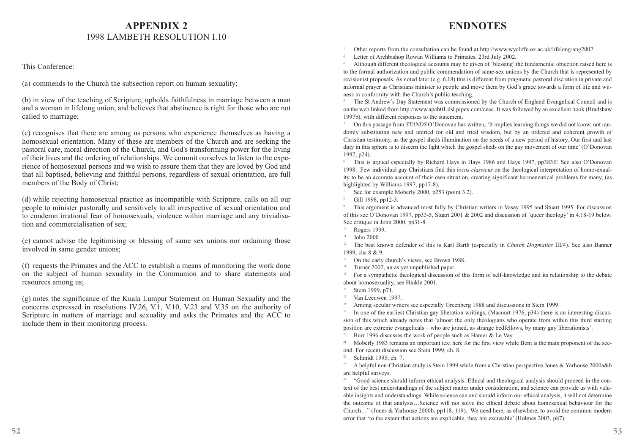# **APPENDIX 2** 1998 LAMBETH RESOLUTION I.10

#### This Conference:

(a) commends to the Church the subsection report on human sexuality;

(b) in view of the teaching of Scripture, upholds faithfulness in marriage between a man and a woman in lifelong union, and believes that abstinence is right for those who are not called to marriage;

(c) recognises that there are among us persons who experience themselves as having a homosexual orientation. Many of these are members of the Church and are seeking the pastoral care, moral direction of the Church, and God's transforming power for the living of their lives and the ordering of relationships. We commit ourselves to listen to the experience of homosexual persons and we wish to assure them that they are loved by God and that all baptised, believing and faithful persons, regardless of sexual orientation, are full members of the Body of Christ;

(d) while rejecting homosexual practice as incompatible with Scripture, calls on all our people to minister pastorally and sensitively to all irrespective of sexual orientation and to condemn irrational fear of homosexuals, violence within marriage and any trivialisation and commercialisation of sex;

(e) cannot advise the legitimising or blessing of same sex unions nor ordaining those involved in same gender unions;

(f) requests the Primates and the ACC to establish a means of monitoring the work done on the subject of human sexuality in the Communion and to share statements and resources among us;

(g) notes the significance of the Kuala Lumpur Statement on Human Sexuality and the concerns expressed in resolutions IV.26, V.1, V.10, V.23 and V.35 on the authority of Scripture in matters of marriage and sexuality and asks the Primates and the ACC to include them in their monitoring process.

# **ENDNOTES**

<sup>1</sup> Other reports from the consultation can be found at http://www.wycliffe.ox.ac.uk/lifelong/ang2002<br><sup>2</sup> Letter of Archbishon Rowan Williams to Primates 23rd July 2002

<sup>2</sup> Letter of Archbishop Rowan Williams to Primates, 23rd July 2002.

<sup>3</sup> Although different theological accounts may be given of 'blessing' the fundamental objection raised here is to the formal authorization and public commendation of same-sex unions by the Church that is represented by revisionist proposals. As noted later (e.g. 6.18) this is different from pragmatic pastoral discretion in private and informal prayer as Christians minister to people and move them by God's grace towards a form of life and witness in conformity with the Church's public teaching.

<sup>4</sup> The St Andrew's Day Statement was commissioned by the Church of England Evangelical Council and is on the web linked from http://www.apcb01.dsl.pipex.com/ceec. It was followed by an excellent book (Bradshaw 1997b), with different responses to the statement.

<sup>5</sup> On this passage from *STANDS* O'Donovan has written, 'It implies learning things we did not know, not randomly substituting new and untried for old and tried wisdom, but by an ordered and coherent growth of Christian testimony, as the gospel sheds illumination on the needs of a new period of history. Our first and last duty in this sphere is to discern the light which the gospel sheds on the gay movement of our time' (O'Donovan 1997, p24).

<sup>6</sup> This is argued especially by Richard Hays in Hays 1986 and Hays 1997, pp383ff. See also O'Donovan 1998. Few individual gay Christians find this *locus classicus* on the theological interpretation of homosexuality to be an accurate account of their own situation, creating significant hermeneutical problems for many, (as highlighted by Williams 1997, pp17-8).

<sup>7</sup> See for example Moberly 2000, p253 (point 3.2).

Gill 1998, pp12-3.

<sup>9</sup> This argument is advanced most fully by Christian writers in Vasey 1995 and Stuart 1995. For discussion of this see O'Donovan 1997, pp33-5, Stuart 2001 & 2002 and discussion of 'queer theology' in 4.18-19 below. See critique in John 2000, pp31-8.

<sup>10</sup> Rogers 1999.

 $11$  John 2000

<sup>12</sup> The best known defender of this is Karl Barth (especially in *Church Dogmatics* III/4). See also Banner 1999, chs 8 & 9.

<sup>13</sup> On the early church's views, see Brown 1988.

<sup>14</sup> Turner 2002, an as yet unpublished paper.

<sup>15</sup> For a sympathetic theological discussion of this form of self-knowledge and its relationship to the debate about homosexuality, see Hinkle 2001.

- <sup>16</sup> Stein 1999, p71.
- <sup>17</sup> Van Leeuwen 1997.

<sup>18</sup> Among secular writers see especially Greenberg 1988 and discussions in Stein 1999.

In one of the earliest Christian gay liberation writings, (Macourt 1976, p34) there is an interesting discussion of this which already notes that 'almost the only theologians who operate from within this third starting position are extreme evangelicals – who are joined, as strange bedfellows, by many gay liberationists'.

Burr 1996 discusses the work of people such as Hamer & Le Vay.

<sup>21</sup> Moberly 1983 remains an important text here for the first view while Bem is the main proponent of the second. For recent discussion see Stein 1999, ch. 8.

Schmidt 1995, ch. 7.

<sup>23</sup> A helpful non-Christian study is Stein 1999 while from a Christian perspective Jones & Yarhouse 2000a&b are helpful surveys.

<sup>24</sup> "Good science should inform ethical analysis. Ethical and theological analysis should proceed in the context of the best understandings of the subject matter under consideration, and science can provide us with valuable insights and understandings. While science can and should inform our ethical analysis, it will not determine the outcome of that analysis…Science will not solve the ethical debate about homosexual behaviour for the Church…" (Jones & Yarhouse 2000b, pp118, 119). We need here, as elsewhere, to avoid the common modern error that 'to the extent that actions are explicable, they are excusable' (Holmes 2003, p87).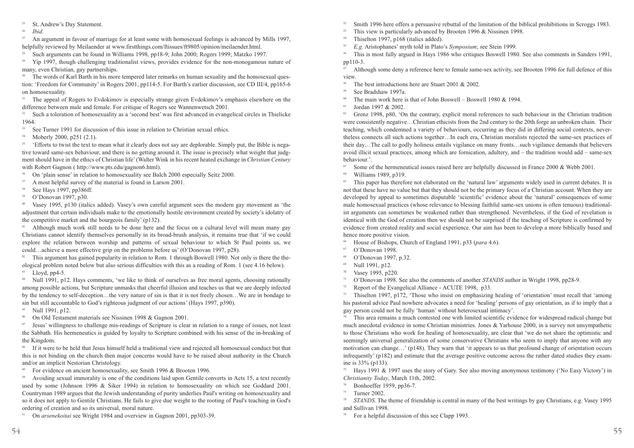<sup>25</sup> St. Andrew's Day Statement.

<sup>26</sup> *Ibid*.

<sup>27</sup> An argument in favour of marriage for at least some with homosexual feelings is advanced by Mills 1997, helpfully reviewed by Meilaender at www.firstthings.com/ftissues/ft9805/opinion/meilaender.html.

<sup>28</sup> Such arguments can be found in Williams 1998, pp18-9; John 2000; Rogers 1999; Matzko 1997.

<sup>29</sup> Yip 1997, though challenging traditionalist views, provides evidence for the non-monogamous nature of many, even Christian, gay partnerships.

<sup>30</sup> The words of Karl Barth in his more tempered later remarks on human sexuality and the homosexual question: 'Freedom for Community' in Rogers 2001, pp114-5. For Barth's earlier discussion, see CD III/4, pp165-6 on homosexuality.

<sup>31</sup> The appeal of Rogers to Evdokimov is especially strange given Evdokimov's emphasis elsewhere on the difference between male and female. For critique of Rogers see Wannenwetsch 2001.

<sup>32</sup> Such a toleration of homosexuality as a 'second best' was first advanced in evangelical circles in Thielicke 1964.

<sup>33</sup> See Turner 1991 for discussion of this issue in relation to Christian sexual ethics.

<sup>34</sup> Moberly 2000, p251 (2.1).<br><sup>35</sup> Efforts to twist the text to

<sup>35</sup> 'Efforts to twist the text to mean what it clearly does not say are deplorable. Simply put, the Bible is negative toward same-sex behaviour, and there is no getting around it. The issue is precisely what weight that judgment should have in the ethics of Christian life' (Walter Wink in his recent heated exchange in *Christian Century* with Robert Gagnon ( http://www.pts.edu/gagnon6.html).

<sup>36</sup> On 'plain sense' in relation to homosexuality see Balch 2000 especially Seitz 2000.

- $\frac{37}{18}$  A most helpful survey of the material is found in Larson 2001.
- See Hays 1997, pp386ff.
- <sup>39</sup> O'Donovan 1997, p30.

<sup>40</sup> Vasey 1995, p130 (italics added). Vasey's own careful argument sees the modern gay movement as 'the adjustment that certain individuals make to the emotionally hostile environment created by society's idolatry of the competitive market and the bourgeois family' (p132).

<sup>41</sup> Although much work still needs to be done here and the focus on a cultural level will mean many gay Christians cannot identify themselves personally in its broad-brush analysis, it remains true that 'if we could explore the relation between worship and patterns of sexual behaviour to which St Paul points us, we could…achieve a more effective grip on the problems before us' (O'Donovan 1997, p28).

<sup>42</sup> This argument has gained popularity in relation to Rom. 1 through Boswell 1980. Not only is there the theological problem noted below but also serious difficulties with this as a reading of Rom. 1 (see 4.16 below).  $43$  Lloyd, pp4-5.

<sup>44</sup> Null 1991, p12. Hays comments, 'we like to think of ourselves as free moral agents, choosing rationally among possible actions, but Scripture unmasks that cheerful illusion and teaches us that we are deeply infected by the tendency to self-deception…the very nature of sin is that it is not freely chosen…We are in bondage to sin but still accountable to God's righteous judgment of our actions' (Hays 1997, p390).

<sup>45</sup> Null 1991, p12.

<sup>46</sup> On Old Testament materials see Nissinen 1998 & Gagnon 2001.

<sup>47</sup> Jesus' willingness to challenge mis-readings of Scripture is clear in relation to a range of issues, not least the Sabbath. His hermeneutics is guided by loyalty to Scripture combined with his sense of the in-breaking of the Kingdom.

<sup>48</sup> If it were to be held that Jesus himself held a traditional view and rejected all homosexual conduct but that this is not binding on the church then major concerns would have to be raised about authority in the Church and/or an implicit Nestorian Christology.

<sup>49</sup> For evidence on ancient homosexuality, see Smith 1996 & Brooten 1996.

<sup>50</sup> Avoiding sexual immorality is one of the conditions laid upon Gentile converts in Acts 15, a text recently used by some (Johnson 1996 & Siker 1994) in relation to homosexuality on which see Goddard 2001. Countryman 1989 argues that the Jewish understanding of purity underlies Paul's writing on homosexuality and so it does not apply to Gentile Christians. He fails to give due weight to the rooting of Paul's teaching in God's ordering of creation and so its universal, moral nature.

<sup>51</sup> On *arsenekoitai* see Wright 1984 and overview in Gagnon 2001, pp303-39.

<sup>52</sup> Smith 1996 here offers a persuasive rebuttal of the limitation of the biblical prohibitions in Scroggs 1983.

<sup>53</sup> This view is particularly advanced by Brooten 1996 & Nissinen 1998.

<sup>54</sup> Thiselton 1997, p168 (italics added).

<sup>55</sup> *E.g.* Aristophanes' myth told in Plato's *Symposium*; see Stein 1999.

<sup>56</sup> This is most fully argued in Hays 1986 who critiques Boswell 1980. See also comments in Sanders 1991, pp110-3.

<sup>57</sup> Although some deny a reference here to female same-sex activity, see Brooten 1996 for full defence of this view.

- <sup>58</sup> The best introductions here are Stuart 2001 & 2002.
- <sup>59</sup> See Bradshaw 1997a.
- The main work here is that of John Boswell Boswell 1980  $& 1994$ .
- <sup>61</sup> Jordan 1997 & 2002.

 $62$  Grenz 1998, p80, 'On the contrary, explicit moral references to such behaviour in the Christian tradition were consistently negative…Christian ethicists from the 2nd century to the 20th forge an unbroken chain. Their teaching, which condemned a variety of behaviours, occurring as they did in differing social contexts, nevertheless connects all such actions together…In each era, Christian moralists rejected the same-sex practices of their day…The call to godly holiness entails vigilance on many fronts…such vigilance demands that believers avoid illicit sexual practices, among which are fornication, adultery, and – the tradition would add – same-sex behaviour.'.

- <sup>63</sup> Some of the hermeneutical issues raised here are helpfully discussed in France 2000 & Webb 2001.
- <sup>64</sup> Williams 1989, p319.

<sup>65</sup> This paper has therefore not elaborated on the 'natural law' arguments widely used in current debates. It is not that these have no value but that they should not be the primary focus of a Christian account. When they are developed by appeal to sometimes disputable 'scientific' evidence about the 'natural' consequences of some male homosexual practices (whose relevance to blessing faithful same-sex unions is often tenuous) traditionalist arguments can sometimes be weakened rather than strengthened. Nevertheless, if the God of revelation is identical with the God of creation then we should not be surprised if the teaching of Scripture is confirmed by evidence from created reality and social experience. Our aim has been to develop a more biblically based and hence more positive vision.

- <sup>66</sup> House of Bishops, Church of England 1991, p33 (*para* 4.6).
- <sup>67</sup> O'Donovan 1998.
- <sup>68</sup> O'Donovan 1997, p.32.
- Null 1991, p12.
- <sup>70</sup> Vasey 1995, p220.
- <sup>71</sup> O'Donovan 1998. See also the comments of another *STANDS* author in Wright 1998, pp28-9.

 $72$  Report of the Evangelical Alliance - ACUTE 1998, p33.

<sup>73</sup> Thiselton 1997, p172, 'Those who insist on emphasizing healing of 'orientation' must recall that 'among his pastoral advice Paul nowhere advocates a need for 'healing' persons of gay orientation, as if to imply that a gay person could not be fully 'human' without heterosexual intimacy'.

This area remains a much contested one with limited scientific evidence for widespread radical change but much anecdotal evidence in some Christian ministries. Jones & Yarhouse 2000, in a survey not unsympathetic to those Christians who work for healing of homosexuality, are clear that 'we do not share the optimistic and seemingly universal generalization of some conservative Christians who seem to imply that anyone with any motivation can change…' (p148). They warn that 'it appears to us that profound change of orientation occurs infrequently' (p182) and estimate that the average positive outcome across the rather dated studies they examine is 33% (p133).

<sup>75</sup> Hays 1991 & 1997 uses the story of Gary. See also moving anonymous testimony ('No Easy Victory') in *Christianity Today*, March 11th, 2002.

- Bonhoeffer 1959, pp36-7.
- $77$  Turner 2002.

<sup>78</sup> *STANDS*. The theme of friendship is central in many of the best writings by gay Christians, e.g. Vasey 1995 and Sullivan 1998.

For a helpful discussion of this see Clapp 1993.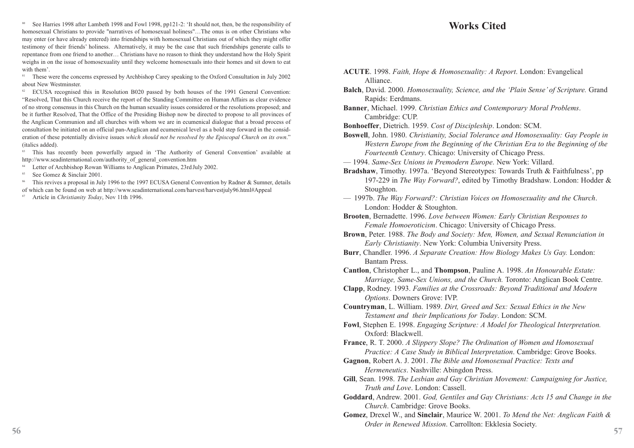See Harries 1998 after Lambeth 1998 and Fowl 1998, pp121-2: 'It should not, then, be the responsibility of homosexual Christians to provide "narratives of homosexual holiness"…The onus is on other Christians who may enter (or have already entered) into friendships with homosexual Christians out of which they might offer testimony of their friends' holiness. Alternatively, it may be the case that such friendships generate calls to repentance from one friend to another… Christians have no reason to think they understand how the Holy Spirit weighs in on the issue of homosexuality until they welcome homosexuals into their homes and sit down to eat with them'.

<sup>81</sup> These were the concerns expressed by Archbishop Carey speaking to the Oxford Consultation in July 2002 about New Westminster.

<sup>82</sup> ECUSA recognised this in Resolution B020 passed by both houses of the 1991 General Convention: "Resolved, That this Church receive the report of the Standing Committee on Human Affairs as clear evidence of no strong consensus in this Church on the human sexuality issues considered or the resolutions proposed; and be it further Resolved, That the Office of the Presiding Bishop now be directed to propose to all provinces of the Anglican Communion and all churches with whom we are in ecumenical dialogue that a broad process of consultation be initiated on an official pan-Anglican and ecumenical level as a bold step forward in the consideration of these potentially divisive issues *which should not be resolved by the Episcopal Church on its own*." (italics added).

<sup>83</sup> This has recently been powerfully argued in 'The Authority of General Convention' available at http://www.seadinternational.com/authority\_of\_general\_convention.htm

- <sup>84</sup> Letter of Archbishop Rowan Williams to Anglican Primates, 23rd July 2002.
- <sup>85</sup> See Gomez & Sinclair 2001.

<sup>86</sup> This revives a proposal in July 1996 to the 1997 ECUSA General Convention by Radner & Sumner, details of which can be found on web at http://www.seadinternational.com/harvest/harvestjuly96.html#Appeal

<sup>87</sup> Article in *Christianity Today*, Nov 11th 1996.

# **Works Cited**

- **ACUTE**. 1998. *Faith, Hope & Homosexuality: A Report*. London: Evangelical Alliance.
- **Balch**, David. 2000. *Homosexuality, Science, and the 'Plain Sense' of Scripture.* Grand Rapids: Eerdmans.
- **Banner**, Michael. 1999. *Christian Ethics and Contemporary Moral Problems*. Cambridge: CUP.

**Bonhoeffer**, Dietrich. 1959. *Cost of Discipleship*. London: SCM.

- **Boswell**, John. 1980. *Christianity, Social Tolerance and Homosexuality: Gay People in Western Europe from the Beginning of the Christian Era to the Beginning of the Fourteenth Century*. Chicago: University of Chicago Press.
- 1994. *Same-Sex Unions in Premodern Europe*. New York: Villard.
- **Bradshaw**, Timothy. 1997a. 'Beyond Stereotypes: Towards Truth & Faithfulness', pp 197-229 in *The Way Forward?*, edited by Timothy Bradshaw. London: Hodder & Stoughton.

— 1997b. *The Way Forward?: Christian Voices on Homosexuality and the Church*. London: Hodder & Stoughton.

- **Brooten**, Bernadette. 1996. *Love between Women: Early Christian Responses to Female Homoeroticism*. Chicago: University of Chicago Press.
- **Brown**, Peter. 1988. *The Body and Society: Men, Women, and Sexual Renunciation in Early Christianity*. New York: Columbia University Press.
- **Burr**, Chandler. 1996. *A Separate Creation: How Biology Makes Us Gay.* London: Bantam Press.

**Cantlon**, Christopher L., and **Thompson**, Pauline A. 1998. *An Honourable Estate: Marriage, Same-Sex Unions, and the Church.* Toronto: Anglican Book Centre.

- **Clapp**, Rodney. 1993. *Families at the Crossroads: Beyond Traditional and Modern Options*. Downers Grove: IVP.
- **Countryman**, L. William. 1989. *Dirt, Greed and Sex: Sexual Ethics in the New Testament and their Implications for Today*. London: SCM.
- **Fowl**, Stephen E. 1998. *Engaging Scripture: A Model for Theological Interpretation.* Oxford: Blackwell.

**France**, R. T. 2000. *A Slippery Slope? The Ordination of Women and Homosexual Practice: A Case Study in Biblical Interpretation*. Cambridge: Grove Books.

- **Gagnon**, Robert A. J. 2001. *The Bible and Homosexual Practice: Texts and Hermeneutics*. Nashville: Abingdon Press.
- **Gill**, Sean. 1998. *The Lesbian and Gay Christian Movement: Campaigning for Justice, Truth and Love*. London: Cassell.
- **Goddard**, Andrew. 2001. *God, Gentiles and Gay Christians: Acts 15 and Change in the Church*. Cambridge: Grove Books.
- **56 57 Gomez**, Drexel W., and **Sinclair**, Maurice W. 2001. *To Mend the Net: Anglican Faith & Order in Renewed Mission*. Carrollton: Ekklesia Society.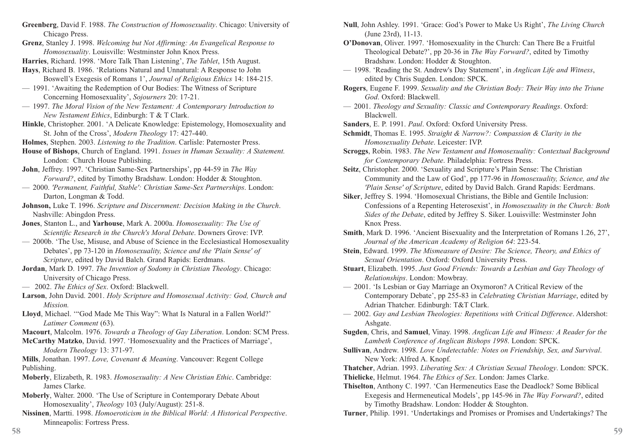**Greenberg**, David F. 1988. *The Construction of Homosexuality*. Chicago: University of Chicago Press.

**Grenz**, Stanley J. 1998. *Welcoming but Not Affirming: An Evangelical Response to Homosexuality*. Louisville: Westminster John Knox Press.

**Harries**, Richard. 1998. 'More Talk Than Listening', *The Tablet*, 15th August.

**Hays**, Richard B. 1986. 'Relations Natural and Unnatural: A Response to John Boswell's Exegesis of Romans 1', *Journal of Religious Ethics* 14: 184-215.

— 1991. 'Awaiting the Redemption of Our Bodies: The Witness of Scripture Concerning Homosexuality', *Sojourners* 20: 17-21.

— 1997. *The Moral Vision of the New Testament: A Contemporary Introduction to New Testament Ethics*, Edinburgh: T & T Clark.

**Hinkle**, Christopher. 2001. 'A Delicate Knowledge: Epistemology, Homosexuality and St. John of the Cross', *Modern Theology* 17: 427-440.

**Holmes**, Stephen. 2003. *Listening to the Tradition*. Carlisle: Paternoster Press.

**House of Bishops**, Church of England. 1991. *Issues in Human Sexuality: A Statement.*  London: Church House Publishing.

**John**, Jeffrey. 1997. 'Christian Same-Sex Partnerships', pp 44-59 in *The Way Forward?*, edited by Timothy Bradshaw. London: Hodder & Stoughton.

— 2000. *'Permanent, Faithful, Stable': Christian Same-Sex Partnerships*. London: Darton, Longman & Todd.

**Johnson,** Luke T. 1996. *Scripture and Discernment: Decision Making in the Church*. Nashville: Abingdon Press.

**Jones**, Stanton L., and **Yarhouse**, Mark A. 2000a. *Homosexuality: The Use of Scientific Research in the Church's Moral Debate*. Downers Grove: IVP.

— 2000b. 'The Use, Misuse, and Abuse of Science in the Ecclesiastical Homosexuality Debates', pp 73-120 in *Homosexuality, Science and the 'Plain Sense' of Scripture*, edited by David Balch. Grand Rapids: Eerdmans.

**Jordan**, Mark D. 1997. *The Invention of Sodomy in Christian Theology*. Chicago: University of Chicago Press.

— 2002. *The Ethics of Sex*. Oxford: Blackwell.

**Larson**, John David. 2001. *Holy Scripture and Homosexual Activity: God, Church and Mission.*

**Lloyd**, Michael. '"God Made Me This Way": What Is Natural in a Fallen World?' *Latimer Comment* (63).

**Macourt**, Malcolm. 1976. *Towards a Theology of Gay Liberation*. London: SCM Press.

**McCarthy Matzko**, David. 1997. 'Homosexuality and the Practices of Marriage', *Modern Theology* 13: 371-97.

**Mills**, Jonathan. 1997. *Love, Covenant & Meaning*. Vancouver: Regent College Publishing.

**Moberly**, Elizabeth, R. 1983. *Homosexuality: A New Christian Ethic*. Cambridge: James Clarke.

**Moberly**, Walter. 2000. 'The Use of Scripture in Contemporary Debate About Homosexuality', *Theology* 103 (July/August): 251-8.

**Nissinen**, Martti. 1998. *Homoeroticism in the Biblical World: A Historical Perspective*. Minneapolis: Fortress Press.

**Null**, John Ashley. 1991. 'Grace: God's Power to Make Us Right', *The Living Church* (June 23rd), 11-13.

**O'Donovan**, Oliver. 1997. 'Homosexuality in the Church: Can There Be a Fruitful Theological Debate?', pp 20-36 in *The Way Forward?*, edited by Timothy Bradshaw. London: Hodder & Stoughton.

— 1998. 'Reading the St. Andrew's Day Statement', in *Anglican Life and Witness*, edited by Chris Sugden. London: SPCK.

- 2001. *Theology and Sexuality: Classic and Contemporary Readings*. Oxford: Blackwell.
- **Sanders**, E. P. 1991. *Paul*. Oxford: Oxford University Press.
- **Schmidt**, Thomas E. 1995. *Straight & Narrow?: Compassion & Clarity in the Homosexuality Debate*. Leicester: IVP.
- **Scroggs**, Robin. 1983. *The New Testament and Homosexuality: Contextual Background for Contemporary Debate*. Philadelphia: Fortress Press.
- **Seitz**, Christopher. 2000. 'Sexuality and Scripture's Plain Sense: The Christian Community and the Law of God', pp 177-96 in *Homosexuality, Science, and the 'Plain Sense' of Scripture*, edited by David Balch. Grand Rapids: Eerdmans.
- **Siker**, Jeffrey S. 1994. 'Homosexual Christians, the Bible and Gentile Inclusion: Confessions of a Repenting Heterosexist', in *Homosexuality in the Church: Both Sides of the Debate*, edited by Jeffrey S. Siker. Louisville: Westminster John Knox Press.
- **Smith**, Mark D. 1996. 'Ancient Bisexuality and the Interpretation of Romans 1.26, 27', *Journal of the American Academy of Religion 64*: 223-54.
- **Stein**, Edward. 1999. *The Mismeasure of Desire: The Science, Theory, and Ethics of Sexual Orientation*. Oxford: Oxford University Press.
- **Stuart**, Elizabeth. 1995. *Just Good Friends: Towards a Lesbian and Gay Theology of Relationships*. London: Mowbray.
- 2001. 'Is Lesbian or Gay Marriage an Oxymoron? A Critical Review of the Contemporary Debate', pp 255-83 in *Celebrating Christian Marriage*, edited by Adrian Thatcher. Edinburgh: T&T Clark.
- 2002. *Gay and Lesbian Theologies: Repetitions with Critical Difference*. Aldershot: Ashgate.

**Sugden**, Chris, and **Samuel**, Vinay. 1998. *Anglican Life and Witness: A Reader for the Lambeth Conference of Anglican Bishops 1998*. London: SPCK.

**Sullivan**, Andrew. 1998. *Love Undetectable: Notes on Friendship, Sex, and Survival*. New York: Alfred A. Knopf.

**Thatcher**, Adrian. 1993. *Liberating Sex: A Christian Sexual Theology*. London: SPCK. **Thielicke**, Helmut. 1964. *The Ethics of Sex*. London: James Clarke.

**Thiselton**, Anthony C. 1997. 'Can Hermeneutics Ease the Deadlock? Some Biblical Exegesis and Hermeneutical Models', pp 145-96 in *The Way Forward?*, edited by Timothy Bradshaw. London: Hodder & Stoughton.

**Turner**, Philip. 1991. 'Undertakings and Promises or Promises and Undertakings? The

**Rogers**, Eugene F. 1999. *Sexuality and the Christian Body: Their Way into the Triune God*. Oxford: Blackwell.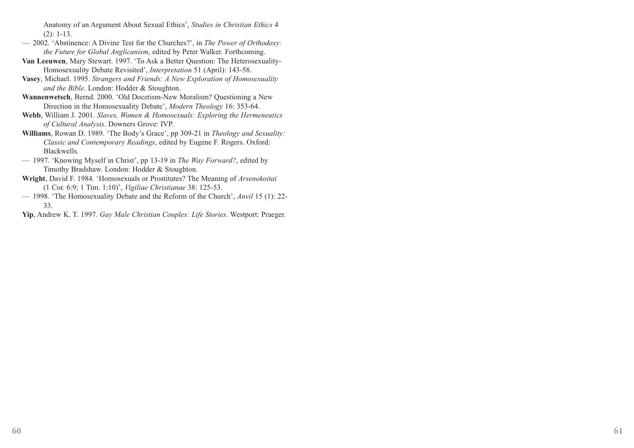Anatomy of an Argument About Sexual Ethics', *Studies in Christian Ethics* 4 (2): 1-13.

- 2002. 'Abstinence: A Divine Test for the Churches?', in *The Power of Orthodoxy: the Future for Global Anglicanism*, edited by Peter Walker. Forthcoming.
- **Van Leeuwen**, Mary Stewart. 1997. 'To Ask a Better Question: The Heterosexuality-Homosexuality Debate Revisited', *Interpretation* 51 (April): 143-58.
- **Vasey**, Michael. 1995. *Strangers and Friends: A New Exploration of Homosexuality and the Bible*. London: Hodder & Stoughton.
- **Wannenwetsch**, Bernd. 2000. 'Old Docetism-New Moralism? Questioning a New Direction in the Homosexuality Debate', *Modern Theology* 16: 353-64.
- **Webb**, William J. 2001. *Slaves, Women & Homosexuals: Exploring the Hermeneutics of Cultural Analysis*. Downers Grove: IVP.
- **Williams**, Rowan D. 1989. 'The Body's Grace', pp 309-21 in *Theology and Sexuality: Classic and Contemporary Readings*, edited by Eugene F. Rogers. Oxford: Blackwells.
- 1997. 'Knowing Myself in Christ', pp 13-19 in *The Way Forward?*, edited by Timothy Bradshaw. London: Hodder & Stoughton.
- **Wright**, David F. 1984. 'Homosexuals or Prostitutes? The Meaning of *Arsenokoitai* (1 Cor. 6:9; 1 Tim. 1:10)', *Vigiliae Christianae* 38: 125-53.
- 1998. 'The Homosexuality Debate and the Reform of the Church', *Anvil* 15 (1): 22- 33.
- **Yip**, Andrew K. T. 1997. *Gay Male Christian Couples: Life Stories*. Westport: Praeger.